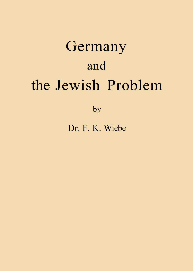# Germany and the Jewish Problem

by

Dr. F. K. Wiebe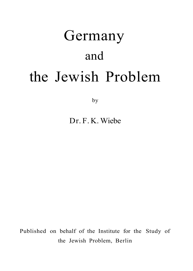# Germany and the Jewish Problem

by

## Dr. F. K. Wiebe

Published on behalf of the Institute for the Study of the Jewish Problem, Berlin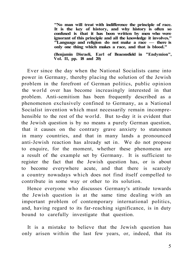**"No man will treat with indifference the principle of race. It is the key of history, and why history is often so confused is that it has been written by men who were ignorant of this principle and all the knowledge it involves." "Language and religion do not make a race — there is only one thing which makes a race, and that is blood."** 

**(Benjamin Disraeli, Earl of Beaconsfield in "Endymion", Vol. II, pp. 18 and 20)** 

Ever since the day when the National Socialists came into power in Germany, thereby placing the solution of the Jewish problem in the forefront of German politics, public opinion the world over has become increasingly interested in that problem. Anti-semitism has been frequently described as a phenomenon exclusively confined to Germany, as a National Socialist invention which must necessarily remain incomprehensible to the rest of the world. But to-day it is evident that the Jewish question is by no means a purely German question, that it causes on the contrary grave anxiety to statesmen in many countries, and that in many lands a pronounced anti-Jewish reaction has already set in. We do not propose to enquire, for the moment, whether these phenomena are a result of the example set by Germany. It is sufficient to register the fact that the Jewish question has, or is about to become everywhere acute, and that there is scarcely a country nowadays which does not find itself compelled to contribute in some way or other to its solution.

Hence everyone who discusses Germany's attitude towards the Jewish question is at the same time dealing with an important problem of contemporary international politics, and, having regard to its far-reaching significance, is in duty bound to carefully investigate that question.

It is a mistake to believe that the Jewish question has only arisen within the last few years, or, indeed, that its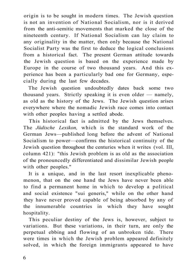origin is to be sought in modern times. The Jewish question is not an invention of National Socialism, nor is it derived from the anti-semitic movements that marked the close of the nineteenth century. If National Socialism can lay claim to any originality in the matter, then only because the National Socialist Party was the first to deduce the logical conclusions from a historical fact. The present German attitude towards the Jewish question is based on the experience made by Europe in the course of two thousand years. And this experience has been a particularly bad one for Germany, especially during the last few decades.

The Jewish question undoubtedly dates back some two thousand years. Strictly speaking it is even older — namely, as old as the history of the Jews. The Jewish question arises everywhere where the nomadic Jewish race comes into contact with other peoples having a settled abode.

This historical fact is admitted by the Jews themselves. The *Jüdische Lexikon,* which is the standard work of the German Jews—published long before the advent of National Socialism to power—confirms the historical continuity of the Jewish question throughout the centuries when it writes (vol. III, column 421): "this Jewish problem is as old as the association of the pronouncedly differentiated and dissimilar Jewish people with other peoples."

It is a unique, and in the last resort inexplicable phenomenon, that on the one hand the Jews have never been able to find a permanent home in which to develop a political and social existence "sui generis," while on the other hand they have never proved capable of being absorbed by any of the innumerable countries in which they have sought hospitality.

This peculiar destiny of the Jews is, however, subject to variations. But these variations, in their turn, are only the perpetual ebbing and flowing of an unbroken tide. There were times in which the Jewish problem appeared definitely solved, in which the foreign immigrants appeared to have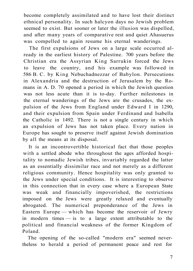become completely assimilated and to have lost their distinct ethnical personality. In such halcyon days no Jewish problem seemed to exist. But sooner or later the illusion was dispelled, and after many years of comparative rest and quiet Ahasuerus was compelled to again resume his eternal wanderings.

The first expulsions of Jews on a large scale occurred already in the earliest history of Palestine. 700 years before the Christian era the Assyrian King Sarrukin forced the Jews to leave the country, and his example was followed in 586 B. C. by King Nebuchadnezzar of Babylon. Persecutions in Alexandria and the destruction of Jerusalem by the Romans in A. D. 70 opened a period in which the Jewish question was not less acute than it is to-day. Further milestones in the eternal wanderings of the Jews are the crusades, the expulsion of the Jews from England under Edward I in 1290, and their expulsion from Spain under Ferdinand and Isabella the Catholic in 1492. There is not a single century in which an expulsion of Jews has not taken place. Every nation in Europe has sought to preserve itself against Jewish domination by all the means at its disposal.

It is an incontrovertible historical fact that those peoples with a settled abode who throughout the ages afforded hospitality to nomadic Jewish tribes, invariably regarded the latter as an essentially dissimilar race and not merely as a different religious community. Hence hospitality was only granted to the Jews under special conditions. It is interesting to observe in this connection that in every case where a European State was weak and financially impoverished, the restrictions imposed on the Jews were greatly relaxed and eventually abrogated. The numerical preponderance of the Jews in Eastern Europe — which has become the reservoir of Jewry in modern times — is to a large extent attributable to the political and financial weakness of the former Kingdom of Poland.

The opening of the so-called "modern era" seemed nevertheless to herald a period of permanent peace and rest for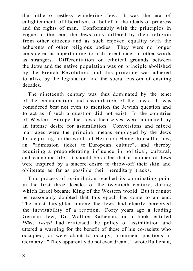the hitherto restless wandering Jew. It was the era of enlightenment, of liberalism, of belief in the ideals of progress and the rights of man. Conformably with the principles in vogue in this era, the Jews only differed by their religion from other citizens and as such enjoyed equality with the adherents of other religious bodies. They were no longer considered as appertaining to a different race, in other words as strangers. Differentiation on ethnical grounds between the Jews and the native population was on principle abolished by the French Revolution, and this principle was adhered to alike by the legislation and the social custom of ensuing decades.

The nineteenth century was thus dominated by the tenet of the emancipation and assimilation of the Jews. It was considered best not even to mention the Jewish question and to act as if such a question did not exist. In the countries of Western Europe the Jews themselves were animated by an intense desire for assimilation. Conversions and mixed marriages were the principal means employed by the Jews for acquiring, in the words of Heinrich Heine, himself a Jew, an "admission ticket to European culture", and thereby acquiring a preponderating influence in political, cultural, and economic life. It should be added that a number of Jews were inspired by a sincere desire to throw-off their skin and obliterate as far as possible their hereditary tracks.

This process of assimilation reached its culminating point in the first three decades of the twentieth century, during which Israel became King of the Western world. But it cannot be reasonably doubted that this epoch has come to an end. The most farsighted among the Jews had clearly perceived the inevitability of a reaction. Forty years ago a leading German Jew, Dr. Walther Rathenau, in a book entitled *Höre, Israel!* had criticised the policy of assimilation and uttered a warning for the benefit of those of his co-racists who occupied, or were about to occupy, prominent positions in Germany. "They apparently do not even dream." wrote Rathenau,

8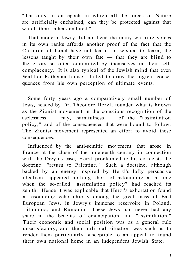"that only in an epoch in which all the forces of Nature are artificially enchained, can they be protected against that which their fathers endured."

That modern Jewry did not heed the many warning voices in its own ranks affords another proof of the fact that the Children of Israel have not learnt, or wished to learn, the lessons taught by their own fate — that they are blind to the errors so often committed by themselves in their selfcomplacency. It is also typical of the Jewish mind that even Walther Rathenau himself failed to draw the logical consequences from his own perception of ultimate events.

Some forty years ago a comparatively small number of Jews, headed by Dr. Theodore Herzl, founded what is known as the Zionist movement in the conscious recognition of the uselessness — nay, harmfulness — of the "assimilation policy," and of the consequences that were bound to follow. The Zionist movement represented an effort to avoid those consequences.

Influenced by the anti-semitic movement that arose in France at the close of the nineteenth century in connection with the Dreyfus case, Herzl proclaimed to his co-racists the doctrine: "return to Palestine." Such a doctrine, although backed by an energy inspired by Herzl's lofty persuasive idealism, appeared nothing short of astounding at a time when the so-called "assimilation policy" had reached its zenith. Hence it was explicable that Herzl's exhortation found a resounding echo chiefly among the great mass of East European Jews, in Jewry's immense reservoire in Poland, Lithuania, and Rumania. These Jews had never had any share in the benefits of emancipation and "assimilation." Their economic and social position was as a general rule unsatisfactory, and their political situation was such as to render them particularly susceptible to an appeal to found their own national home in an independent Jewish State.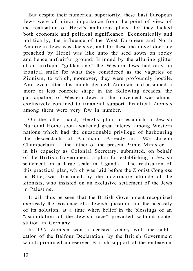But despite their numerical superiority, these East European Jews were of minor importance from the point of view of the realisation of Herzl's ambitious plans, for they lacked both economic and political significance. Economically and politically, the influence of the West European and North American Jews was decisive, and for these the novel doctrine preached by Herzl was like unto the seed sown on rocky and hence unfruitful ground. Blinded by the alluring glitter of an artificial "golden age," the Western Jews had only an ironical smile for what they considered as the vagaries of Zionism, to which, moreover, they were profoundly hostile. And even after this much derided Zionism had assumed a more or less concrete shape in the following decades, the participation of Western Jews in the movement was almost exclusively confined to financial support. Practical Zionists among them were very few in number.

On the other hand, Herzl's plan to establish a Jewish National Home soon awakened great interest among Western nations which had the questionable privilege of harbouring the descendants of Abraham. Already in 1903 Joseph  $Chamberlain$  — the father of the present Prime Minister in his capacity as Colonial Secretary, submitted, on behalf of the British Government, a plan for establishing a Jewish settlement on a large scale in Uganda. The realisation of this practical plan, which was laid before the Zionist Congress in Bâle, was frustrated by the doctrinaire attitude of the Zionists, who insisted on an exclusive settlement of the Jews in Palestine.

It will thus be seen that the British Government recognised expressly the existence of a Jewish question, and the necessity of its solution, at a time when belief in the blessings of an "assimilation of the Jewish race" prevailed without contestation in Germany.

In 1917 Zionism won a decisive victory with the publication of the Balfour Declaration, by the British Government which promised unreserved British support of the endeavour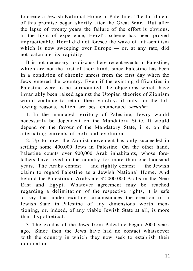to create a Jewish National Home in Palestine. The fulfilment of this promise began shortly after the Great War. But after the lapse of twenty years the failure of the effort is obvious. In the light of experience, Herzl's scheme has been proved impracticable. Herzl did not foresee the wave of anti-semitism which is now sweeping over Europe — or, at any rate, did not calculate its rapidity.

It is not necessary to discuss here recent events in Palestine, which are not the first of their kind, since Palestine has been in a condition of chronic unrest from the first day when the Jews entered the country. Even if the existing difficulties in Palestine were to be surmounted, the objections which have invariably been raised against the Utopian theories of Zionism would continue to retain their validity, if only for the following reasons, which are best enumerated *seriatim:* 

1. In the mandated territory of Palestine, Jewry would necessarily be dependent on the Mandatory State. It would depend on the favour of the Mandatory State, i. e. on the alternating currents of political evolution.

2. Up to now, the Zionist movement has only succeeded in settling some 400,000 Jews in Palestine. On the other hand, Palestine counts over 900,000 Arab inhabitants, whose forefathers have lived in the country for more than one thousand years. The Arabs contest — and rightly contest — the Jewish claim to regard Palestine as a Jewish National Home. And behind the Palestinian Arabs are 32 000 000 Arabs in the Near East and Egypt. Whatever agreement may be reached regarding a delimitation of the respective rights, it is safe to say that under existing circumstances the creation of a Jewish State in Palestine of any dimensions worth mentioning, or, indeed, of any viable Jewish State at all, is more than hypothetical.

3. The exodus of the Jews from Palestine began 2000 years ago. Since then the Jews have had no contact whatsoever with the country in which they now seek to establish their domination.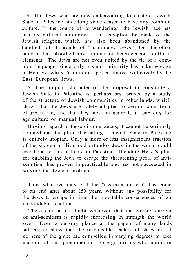4. The Jews who are now endeavouring to create a Jewish State in Palestine have long since ceased to have any common culture. In the course of its wanderings, the Jewish race has lost its cultural autonomy  $-$  if exception be made of the Jewish religion, which has also been abandoned by the hundreds of thousands of "assimilated Jews." On the other hand it has absorbed any amount of heterogeneous cultural elements. The Jews are not even united by the tie of a common language, since only a small minority has a knowledge of Hebrew, whilst Yiddish is spoken almost exclusively by the East European Jews.

5. The utopian character of the proposal to constitute a Jewish State in Palestine is, perhaps best proved by a study of the structure of Jewish communities in other lands, which shows that the Jews are solely adapted to certain conditions of urban life, and that they lack, in general, all capacity for agriculture or manual labour.

Having regard to these circumstances, it cannot be seriously doubted that the plan of creating a Jewish State in Palestine is entirely utopian. Only a more or less insignificant fraction of the sixteen million odd orthodox Jews in the world could ever hope to find a home in Palestine. Theodore Herzl's plan for enabling the Jews to escape the threatening peril of antisemitism has proved impracticable and has not succeeded in solving the Jewish problem.

Thus what we may call the "assimilation era" has come to an end after about 150 years, without any possibility for the Jews to escape in time the inevitable consequences of an unavoidable reaction.

There can be no doubt whatever that the counter-current of anti-semitism is rapidly increasing in strength the world over. Even a cursory glance at the papers of many lands suffices to show that the responsible leaders of states in all corners of the globe are compelled in varying degrees to take account of this phenomenon. Foreign critics who maintain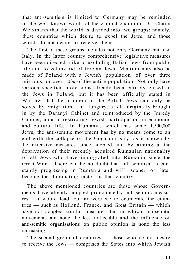that anti-semitism is limited to Germany may be reminded of the well known words of the Zionist champion Dr. Chaim Weizmann that the world is divided into two groups: namely, those countries which desire to expel the Jews, and those which do not desire to receive them.

The first of these groups includes not only Germany but also Italy. In the latter country comprehensive legislative measures have been directed alike to excluding Italian Jews from public life and to getting rid of foreign Jews. Mention may also be made of Poland with a Jewish population of over three millions, or over 10% of the entire population. Not only have various specified professions already been entirely closed to the Jews in Poland, but it has been officially stated in Warsaw that the problem of the Polish Jews can only be solved by emigration. In Hungary, a Bill, originally brought in by the Daranyi Cabinet and reintroduced by the Imredy Cabinet, aims at restricting Jewish participation in economic and cultural life. In Rumania, which has some 1,500,000 Jews, the anti-semitic movement has by no means come to an end with the collapse of the Goga ministry, as is shown by the extensive measures since adopted and by aiming at the deprivation of their recently acquired Rumanian nationality of all Jews who have immigrated into Rumania since the Great War. There can be no doubt that anti-semitism is constantly progressing in Rumania and will sooner or later become the dominating factor in that country.

The above mentioned countries are those whose Governments have already adopted pronouncedly anti-semitic measures. It would lead too far were we to enumerate the countries — such as Holland, France, and Great Britain — which have not adopted similar measures, but in which anti-semitic movements are none the less noticeable and the influence of anti-semitic organisations on public opinion is none the less increasing.

The second group of countries — those who do not desire to receive the Jews — comprises the States into which Jewish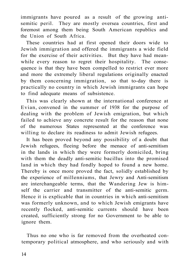immigrants have poured as a result of the growing antisemitic peril. They are mostly oversea countries, first and foremost among them being South American republics and the Union of South Africa.

These countries had at first opened their doors wide to Jewish immigration and offered the immigrants a wide field for the exercise of their activities. But they have had meanwhile every reason to regret their hospitality. The consequence is that they have been compelled to restrict ever more and more the extremely liberal regulations originally enacted by them concerning immigration, so that to-day there is practically no country in which Jewish immigrants can hope to find adequate means of subsistence.

This was clearly shown at the international conference at Evian, convened in the summer of 1938 for the purpose of dealing with the problem of Jewish emigration, but which failed to achieve any concrete result for the reason that none of the numerous States represented at the conference was willing to declare its readiness to admit Jewish refugees.

It has been proved beyond any possibility of a doubt that Jewish refugees, fleeing before the menace of anti-semitism in the lands in which they were formerly domiciled, bring with them the deadly anti-semitic bacillus into the promised land in which they had fondly hoped to found a new home. Thereby is once more proved the fact, solidly established by the experience of millenniums, that Jewry and Anti-semitism are interchangeable terms, that the Wandering Jew is himself the carrier and transmitter of the anti-semitic germ. Hence it is explicable that in countries in which anti-semitism was formerly unknown, and to which Jewish emigrants have recently flocked, anti-semitic currents should have been created, sufficiently strong for no Government to be able to ignore them.

Thus no one who is far removed from the overheated contemporary political atmosphere, and who seriously and with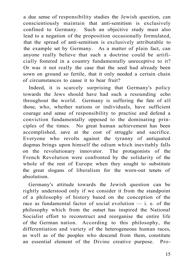a due sense of responsibility studies the Jewish question, can conscientiously maintain that anti-semitism is exclusively confined to Germany. Such an objective study must also lead to a negation of the proposition occasionally formulated, that the spread of anti-semitism is exclusively attributable to the example set by Germany. As a matter of plain fact, can anyone really believe that such a doctrine could be artificially fostered in a country fundamentally unreceptive to it? Or was it not really the case that the seed had already been sown on ground so fertile, that it only needed a certain chain of circumstances to cause it to bear fruit?

Indeed, it is scarcely surprising that Germany's policy towards the Jews should have had such a resounding echo throughout the world. Germany is suffering the fate of all those, who, whether nations or individuals, have sufficient courage and sense of responsibility to practise and defend a conviction fundamentally opposed to the dominating principles of the times. No great human achievement has been accomplished, save at the cost of struggle and sacrifice. Everyone who revolts against the tyranny of antiquated dogmas brings upon himself the odium which inevitably falls on the revolutionary innovator. The protagonists of the French Revolution were confronted by the solidarity of the whole of the rest of Europe when they sought to substitute the great slogans of liberalism for the worn-out tenets of absolutism.

Germany's attitude towards the Jewish question can be rightly understood only if we consider it from the standpoint of a philosophy of history based on the conception of the race as fundamental factor of social evolution — i. e. of the philosophy which from the outset has inspired the National Socialist effort to reconstruct and reorganise the entire life of the German nation. According to this philosophy, the differentiation and variety of the heterogeneous human races, as well as of the peoples who descend from them, constitute an essential element of the Divine creative purpose. Pro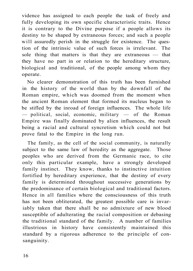vidence has assigned to each people the task of freely and fully developing its own specific characteristic traits. Hence it is contrary to the Divine purpose if a people allows its destiny to be shaped by extraneous forces; and such a people will assuredly perish in the struggle for existence. The question of the intrinsic value of such forces is irrelevant. The sole thing that matters is that they are extraneous — that they have no part in or relation to the hereditary structure, biological and traditional, of the people among whom they operate.

No clearer demonstration of this truth has been furnished in the history of the world than by the downfall of the Roman empire, which was doomed from the moment when the ancient Roman element that formed its nucleus began to be stifled by the inroad of foreign influences. The whole life — political, social, economic, military — of the Roman Empire was finally dominated by alien influences, the result being a racial and cultural syncretism which could not but prove fatal to the Empire in the long run.

The family, as the cell of the social community, is naturally subject to the same law of heredity as the aggregate. Those peoples who are derived from the Germanic race, to cite only this particular example, have a strongly developed family instinct. They know, thanks to instinctive intuition fortified by hereditary experience, that the destiny of every family is determined throughout successive generations by the predominance of certain biological and traditional factors. Hence in all families where the consciousness of this truth has not been obliterated, the greatest possible care is invariably taken that there shall be no admixture of new blood susceptible of adulterating the racial composition or debasing the traditional standard of the family. A number of families illustrious in history have consistently maintained this standard by a rigorous adherence to the principle of consanguinity.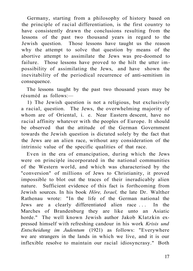Germany, starting from a philosophy of history based on the principle of racial differentiation, is the first country to have consistently drawn the conclusions resulting from the lessons of the past two thousand years in regard to the Jewish question. Those lessons have taught us the reason why the attempt to solve that question by means of the abortive attempt to assimilate the Jews was pre-doomed to failure. Those lessons have proved to the hilt the utter impossibility of assimilating the Jews, and have shown the inevitability of the periodical recurrence of anti-semitism in consequence.

The lessons taught by the past two thousand years may be résuméd as follows:—

1) The Jewish question is not a religious, but exclusively a racial, question. The Jews, the overwhelming majority of whom are of Oriental, i. e. Near Eastern descent, have no racial affinity whatever with the peoples of Europe. It should be observed that the attitude of the German Government towards the Jewish question is dictated solely by the fact that the Jews are an alien race, without any consideration of the intrinsic value of the specific qualities of that race.

Even in the era of emancipation, during which the Jews were on principle incorporated in the national communities of the Western world, and which was characterised by the "conversion" of millions of Jews to Christianity, it proved impossible to blot out the traces of their ineradicably alien nature. Sufficient evidence of this fact is forthcoming from Jewish sources. In his book *Höre, Israel,* the late Dr. Walther Rathenau wrote: "In the life of the German national the Jews are a clearly differentiated alien race .. . In the Marches of Brandenburg they are like unto an Asiatic horde." The well known Jewish author Jakob Klatzkin expressed himself with refreshing candour in his work *Krisis und Entscheidung im Judentum* (1921) as follows: "Everywhere we are strangers in the lands in which we live, and it is our inflexible resolve to maintain our racial idiosyncrasy." Both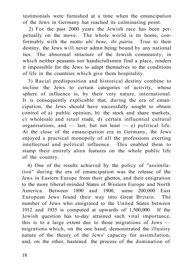testimonials were furnished at a time when the emancipation of the Jews in Germany hat reached its culminating point.

2) For the past 2000 years the Jewish race has been perpetually on the move. The whole world is its home, conformably with the motto *ubi bene, ibi patria.* True to their destiny, the Jews will never admit being bound by any national ties. The abnormal structure of the Jewish community, in which neither peasants nor handicraftsmen find a place, renders it impossible for the Jews to adapt themselves to the conditions of life in the countries which give them hospitality.

3) Racial predisposition and historical destiny combine to incline the Jews to certain categories of activity, whose sphere of influence is, by their very nature, international. It is consequently explicable that, during the era of emancipation, the Jews should have successfully sought to obtain control of a) public opinion, b) the stock and share markets, c) wholesale and retail trade, d) certain influential cultural organisations, and  $-$  last, but not least  $-$  e) political life. At the close of the emancipation era in Germany, the Jews enjoyed a practical monopoly of all the professions exerting intellectual and political influence. This enabled them to stamp their entirely alien features on the whole public life of the country.

4) One of the results achieved by the policy of "assimilation" during the era of emancipation was the release of the Jews in Eastern Europe from their ghettos, and their emigration to the more liberal-minded States of Western Europe and North America. Between 1890 and 1900, some 200,000 East European Jews found their way into Great Britain. The number of Jews who emigrated to the United States between 1912 and 1935 is computed at upwards of 1,500,000. If the Jewish question has to-day attained such vital importance, this is to a large extent due to those migrations of Jews migrations which, on the one hand, demonstrated the illusory nature of the theory of the Jews' capacity for assimilation, and, on the other, hastened the process of the domination of

18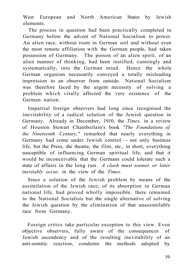West European and North American States by Jewish elements.

The process in question had been practically completed in Germany before the advent of National Socialism to power. An alien race, without roots in German soil and without even the most remote affiliation with the German people, had taken possession of Germany. The poison of an alien spirit, of an alien manner of thinking, had been instilled, cunningly and systematically, into the German mind. Hence the whole German organism necessarily conveyed a totally misleading impression to an observer from outside. National Socialism was therefore faced by the urgent necessity of solving a problem which vitally affected the very existence of the German nation.

Impartial foreign observers had long since recognised the inevitability of a radical solution of the Jewish question in Germany. Already in December, 1910, the *Times,* in a review of Houston Stewart Chamberlain's book *"The Foundations of the Nineteenth Century,"* remarked that nearly everything in Germany had come under Jewish control — not only business life, but the Press, the theatre, the film, etc., in short, everything susceptible of influencing German spiritual life, and that it would be inconceivable that the Germans could tolerate such a state of affairs in the long run. *A clash must sooner or later inevitably occur,* in the view of the *Times.* 

Since a solution of the Jewish problem by means of the assimilation of the Jewish race, of its absorption in German national life, had proved wholly impossible, there remained to the National Socialists but the single alternative of solving the Jewish question by the elimination of that unassimilable race from Germany.

Foreign critics take particular exception to this view. Even objective observers, fully aware of the consequences of Jewish ascendency and of the resulting inevitability of an anti-semitic reaction, condemn the methods adopted by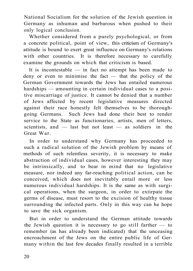National Socialism for the solution of the Jewish question in Germany as inhuman and barbarous when pushed to their only logical conclusion.

Whether considered from a purely psychological, or from a concrete political, point of view, this criticism of Germany's attitude is bound to exert great influence on Germany's relations with other countries. It is therefore necessary to carefully examine the grounds on which that criticism is based.

It is incontestable — in fact no attempt has been made to deny or even to minimise the fact — that the policy of the German Government towards the Jews has entailed numerous hardships — amounting in certain individual cases to a positive miscarriage of justice. It cannot be denied that a number of Jews affected by recent legislative measures directed against their race honestly felt themselves to be thoroughgoing Germans. Such Jews had done their best to render service to the State as functionaries, artists, men of letters, scientists, and — last but not least — as soldiers in the Great War.

In order to understand why Germany has proceeded to such a radical solution of the Jewish problem by means of methods of such relentless severity, it is necessary to make abstraction of individual cases, however interesting they may be intrinsically, and to bear in mind that no legislative measure, nor indeed any far-reaching political action, can be conceived, which does not inevitably entail more or less numerous individual hardships. It is the same as with surgical operations, when the surgeon, in order to extirpate the germs of disease, must resort to the excision of healthy tissue surrounding the infected parts. Only in this way can he hope to save the sick organism.

But in order to understand the German attitude towards the Jewish question it is necessary to go still farther — to remember (as has already been indicated) that the unceasing encroachment of the Jews on the entire public life of Germany within the last few decades finally resulted in a terrible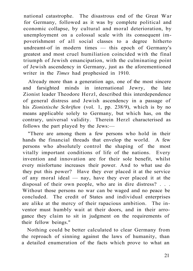national catastrophe. The disastrous end of the Great War for Germany, followed as it was by complete political and economic collapse, by cultural and moral deterioration, by unemployment on a colossal scale with its consequent impoverishment of all social classes to a degree hitherto undreamt-of in modern times — this epoch of Germany's greatest and most cruel humiliation coincided with the final triumph of Jewish emancipation, with the culminating point of Jewish ascendency in Germany, just as the aforementioned writer in the *Times* had prophesied in 1910.

Already more than a generation ago, one of the most sincere and farsighted minds in international Jewry, the late Zionist leader Theodore Herzl, described this interdependence of general distress and Jewish ascendency in a passage of his *Zionistische Schriften* (vol. 1, pp. 238/9), which is by no means applicable solely to Germany, but which has, on the contrary, universal validity. Therein Herzl characterised as follows the part played by the Jews:—

"There are among them a few persons who hold in their hands the financial threads that envelop the world. A few persons who absolutely control the shaping of the most vitally important conditions of life of the nations. Every invention and innovation are for their sole benefit, whilst every misfortune increases their power. And to what use do they put this power? Have they ever placed it at the service of any moral ideal — nay, have they ever placed it at the disposal of their own people, who are in dire distress? . . . Without those persons no war can be waged and no peace be concluded. The credit of States and individual enterprises are alike at the mercy of their rapacious ambition. The inventor must humbly wait at their doors, and in their arrogance they claim to sit in judgment on the requirements of their fellow beings."

Nothing could be better calculated to clear Germany from the reproach of sinning against the laws of humanity, than a detailed enumeration of the facts which prove to what an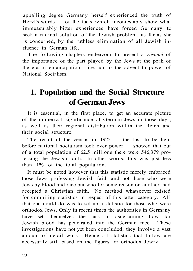appalling degree Germany herself experienced the truth of Herzl's words — of the facts which incontestably show what immeasurably bitter experiences have forced Germany to seek a radical solution of the Jewish problem, as far as she is concerned, by the ruthless elimination of all Jewish influence in German life.

The following chapters endeavour to present a *résumé* of the importance of the part played by the Jews at the peak of the era of emancipation  $\frac{1}{1}$  i.e. up to the advent to power of National Socialism.

### **1. Population and the Social Structure of German Jews**

It is essential, in the first place, to get an accurate picture of the numerical significance of German Jews in those days, as well as their regional distribution within the Reich and their social structure.

The result of the census in 1925 — the last to be held before national socialism took over power — showed that out of a total population of 62.5 millions there were 546,379 professing the Jewish faith. In other words, this was just less than 1% of the total population.

It must be noted however that this statistic merely embraced those Jews professing Jewish faith and not those who were Jews by blood and race but who for some reason or another had accepted a Christian faith. No method whatsoever existed for compiling statistics in respect of this latter category. All that one could do was to set up a statistic for those who were orthodox Jews. Only in recent times the authorities in Germany have set themselves the task of ascertaining how far Jewish blood has penetrated into the German race. These investigations have not yet been concluded; they involve a vast amount of detail work. Hence all statistics that follow are necessarily still based on the figures for orthodox Jewry.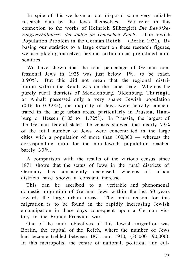In spite of this we have at our disposal some very reliable research data by the Jews themselves. We refer in this connexion to the works of Heinrich Silbergleit *Die Bevölkerungsverhältnisse der Juden im Deutschen Reich* — The Jewish Population Problem in the German Reich— (Berlin 1931). By basing our statistics to a large extent on these research figures, we are placing ourselves beyond criticism as prejudiced antisemitics.

We have shown that the total percentage of German confessional Jews in 1925 was just below 1%, to be exact, 0.90%. But this did not mean that the regional distribution within the Reich was on the same scale. Whereas the purely rural districts of Mecklenburg, Oldenburg, Thuringia or Anhalt possessed only a very sparse Jewish population (0.16 to 0.32%), the majority of Jews were heavily concentrated in the large urban areas, particularly in Prussia, Hamburg or Hessen (1.05 to 1.72%). In Prussia, the largest of the German federal states, the census showed that nearly 73% of the total number of Jews were concentrated in the large cities with a population of more than 100,000 — whereas the corresponding ratio for the non-Jewish population reached barely 30%.

A comparison with the results of the various census since 1871 shows that the status of Jews in the rural districts of Germany has consistently decreased, whereas all urban districts have shown a constant increase.

This can be ascribed to a veritable and phenomenal domestic migration of German Jews within the last 50 years towards the large urban areas. The main reason for this migration is to be found in the rapidly increasing Jewish emancipation in those days consequent upon a German victory in the Franco-Prussian war.

One of the main objectives of this Jewish migration was Berlin, the capital of the Reich, where the number of Jews had become trebled between 1871 and 1910, (36,000—90,000). In this metropolis, the centre of national, political and cul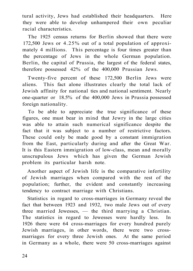tural activity, Jews had established their headquarters. Here they were able to develop unhampered their own peculiar racial characteristics.

The 1925 census returns for Berlin showed that there were 172,500 Jews or 4.25% out of a total population of approximately 4 millions. This percentage is four times greater than the percentage of Jews in the whole German population. Berlin, the capital of Prussia, the largest of the federal states, therefore possessed 42% of the 400,000 Prussian Jews.

Twenty-five percent of these 172,500 Berlin Jews were aliens. This fact alone illustrates clearly the total lack of Jewish affinity for national ties and national sentiment. Nearly one-quarter or 18.5% of the 400,000 Jews in Prussia possessed foreign nationality.

To be able to appreciate the true significance of these figures, one must bear in mind that Jewry in the large cities was able to attain such numerical significance despite the fact that it was subject to a number of restrictive factors. These could only be made good by a constant immigration from the East, particularly during and after the Great War. It is this Eastern immigration of low-class, mean and morally unscrupulous Jews which has given the German Jewish problem its particular harsh note.

Another aspect of Jewish life is the comparative infertility of Jewish marriages when compared with the rest of the population; further, the evident and constantly increasing tendency to contract marriage with Christians.

Statistics in regard to cross-marriages in Germany reveal the fact that between 1923 and 1932, two male Jews out of every three married Jewesses, — the third marrying a Christian. The statistics in regard to Jewesses were hardly less. In 1926 there were 64 cross-marriages for every hundred purely Jewish marriages, in other words, there were two crossmarriages for every three Jewish ones. At the same period in Germany as a whole, there were 50 cross-marriages against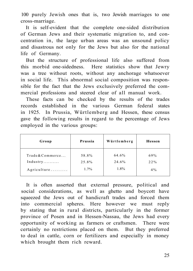100 purely Jewish ones that is, two Jewish marriages to one cross-marriage.

It is self-evident that the complete one-sided distribution of German Jews and their systematic migration to, and concentration in, the large urban areas was an unsound policy and disastrous not only for the Jews but also for the national life of Germany.

But the structure of professional life also suffered from this morbid one-sidedness. Here statistics show that Jewry was a tree without roots, without any anchorage whatsoever in social life. This abnormal social composition was responsible for the fact that the Jews exclusively preferred the commercial professions and steered clear of all manual work.

These facts can be checked by the results of the trades records established in the various German federal states in 1925. In Prussia, Würtlemberg and Hessen, these census gave the following results in regard to the percentage of Jews employed in the various groups:

| Group            | Prussia | Würtlemberg | Hessen |
|------------------|---------|-------------|--------|
| Trade & Commerce | 58.8%   | 64.6%       | 69%    |
| Industry         | 25.8%   | 24.6%       | 22%    |
| Agriculture      | 1.7%    | 1.8%        | $4\%$  |

It is often asserted that external pressure, political and social considerations, as well as ghetto and boycott have squeezed the Jews out of handicraft trades and forced them into commercial spheres. Here however we must reply by stating that in rural districts, particularly in the former province of Posen and in Hessen-Nassau, the Jews had every opportunity of working as farmers or craftsmen. There were certainly no restrictions placed on them. But they preferred to deal in cattle, corn or fertilizers and especially in money which brought them rich reward.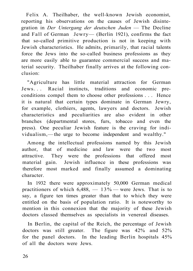Felix A. Theilhaber, the well-known Jewish economist, reporting his observations on the causes of Jewish disintegration in *Der Untergang der deutschen Juden* — The Decline and Fall of German Jewry— (Berlin 1921), confirms the fact that so-called primitive production is not in keeping with Jewish characteristics. He admits, primarily, that racial talents force the Jews into the so-called business professions as they are more easily able to guarantee commercial success and material security. Theilhaber finally arrives at the following conclusion:

"Agriculture has little material attraction for German Jews. . . Racial instincts, traditions and economic preconditions compel them to choose other professions . . . Hence it is natural that certain types dominate in German Jewry, for example, clothiers, agents, lawyers and doctors. Jewish characteristics and peculiarities are also evident in other branches (departmental stores, furs, tobacco and even the press). One peculiar Jewish feature is the craving for individualism,— the urge to become independent and wealthy."

Among the intellectual professions named by this Jewish author, that of medicine and law were the two most attractive. They were the professions that offered most material gain. Jewish influence in these professions was therefore most marked and finally assumed a dominating character.

In 1932 there were approximately 50,000 German medical practitioners of which  $6,488, -13\%$  — were Jews. That is to say, a figure ten times greater than that to which they were entitled on the basis of population ratio. It is noteworthy to mention in this connexion that the majority of these Jewish doctors classed themselves as specialists in venereal diseases.

In Berlin, the capital of the Reich, the percentage of Jewish doctors was still greater. The figure was 42% and 52% for the panel doctors. In the leading Berlin hospitals 45% of all the doctors were Jews.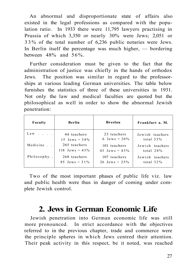An abnormal and disproportionate state of affairs also existed in the legal professions as compared with the population ratio. In 1933 there were 11,795 lawyers practising in Prussia of which 3,350 or nearly 30% were Jews; 2,051 or 3 3 % of the total number of 6,236 public notaries were Jews. In Berlin itself the percentage was much higher, — bordering between 48% and 56%.

Further consideration must be given to the fact that the administration of justice was chiefly in the hands of orthodox Jews. The position was similar in regard to the professorships at various leading German universities. The table below furnishes the statistics of three of these universities in 1931. Not only the law and medical faculties are quoted but the philosophical as well in order to show the abnormal Jewish penetration:

| Faculty             | <b>Berlin</b>     | <b>Breslau</b>     | Frankfurt a. M. |
|---------------------|-------------------|--------------------|-----------------|
| $Law \tcdot \tcdot$ | 44 teachers       | 23 teachers        | Jewish teachers |
|                     | 15 Jews = $34\%$  | 6 Jews = $26\%$    | total $33\%$    |
| Medicine            | 265 teachers      | 101 teachers       | Jewish teachers |
|                     | 118 Jews = $43\%$ | 43 Jews = $43\%$   | total $28%$     |
| Philosophy          | 268 teachers      | 107 teachers       | Jewish teachers |
|                     | 85 Jews = $31\%$  | $26$ Jews = $25\%$ | total $32\%$    |

Two of the most important phases of public life viz. law and public health were thus in danger of coming under complete Jewish control.

#### **2. Jews in German Economic Life**

Jewish penetration into German economic life was still more pronounced. In strict accordance with the objectives referred to in the previous chapter, trade and commerce were the principle spheres in which Jews centred their attention. Their peak activity in this respect, be it noted, was reached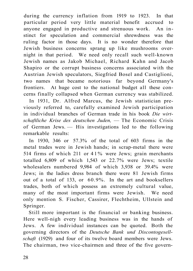during the currency inflation from 1919 to 1923. In that particular period very little material benefit accrued to anyone engaged in productive and strenuous work. An instinct for speculation and commercial shrewdness was the ruling factor in those days. It is no wonder therefore that Jewish business concerns sprang up like mushrooms overnight in that period. We need only recall such well-known Jewish names as Jakob Michael, Richard Kahn and Jacob Shapiro or the corrupt business concerns associated with the Austrian Jewish speculators, Siegfried Bosel and Castiglioni, two names that became notorious far beyond Germany's frontiers. At huge cost to the national budget all these concerns finally collapsed when German currency was stabilized.

In 1931, Dr. Alfred Marcus, the Jewish statistician previously referred to, carefully examined Jewish participation in individual branches of German trade in his book *Die wirtschaftliche Krise des deutschen Juden,* — The Economic Crisis of German Jews. — His investigations led to the following remarkable results:

In 1930, 346 or 57.3% of the total of 603 firms in the metal trades were in Jewish hands; in scrap-metal there were 514 firms of which 211 or 41 % were Jews; grain merchants totalled 6,809 of which 1,543 or 22.7% were Jews; textile wholesalers numbered 9,984 of which 3,938 or 39.4% were Jews; in the ladies dress branch there were 81 Jewish firms out of a total of 133, or 60.9%. In the art and booksellers trades, both of which possess an extremely cultural value, many of the most important firms were Jewish. We need only mention S. Fischer, Cassirer, Flechtheim, Ullstein and Springer.

Still more important is the financial or banking business. Here well-nigh every leading business was in the hands of Jews. A few individual instances can be quoted. Both the governing directors of the *Deutsche Bank und Discontogesellschaft* (1929) and four of its twelve board members were Jews. The chairman, two vice-chairmen and three of the five govern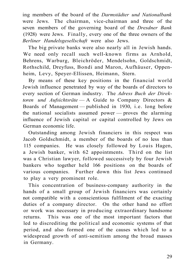ing members of the board of the *Darmstädter und Nationalbank*  were Jews. The chairman, vice-chairman and three of the seven members of the governing board of the *Dresdner Bank*  (1928) were Jews. Finally, every one of the three owners of the *Berliner Handelsgesellschaft* were also Jews.

The big private banks were also nearly all in Jewish hands. We need only recall such well-known firms as Arnhold, Behrens, Warburg, Bleichröder, Mendelsohn, Goldschmidt, Rothschild, Dreyfuss, Bondi and Maron, Aufhäuser, Oppenheim, Levy, Speyer-Ellissen, Heimann, Stern.

By means of these key positions in the financial world Jewish influence penetrated by way of the boards of directors to every section of German industry. The *Adress Buch der Direktoren und Aufsichtsräte* — A Guide to Company Directors & Boards of Management — published in 1930, i.e. long before the national socialists assumed power — proves the alarming influence of Jewish capital or capital controlled by Jews on German economic life.

Outstanding among Jewish financiers in this respect was Jacob Goldschmidt, a member of the boards of no less than 115 companies. He was closely followed by Louis Hagen, a Jewish banker, with 62 appointments. Third on the list was a Christian lawyer, followed successively by four Jewish bankers who together held 166 positions on the boards of various companies. Further down this list Jews continued to play a very prominent role.

This concentration of business-company authority in the hands of a small group of Jewish financiers was certainly not compatible with a conscientious fulfilment of the exacting duties of a company director. On the other hand no effort or work was necessary in producing extraordinary handsome returns. This was one of the most important factors that led to discrediting the political and economic systems of that period, and also formed one of the causes which led to a widespread growth of anti-semitism among the broad masses in Germany.

29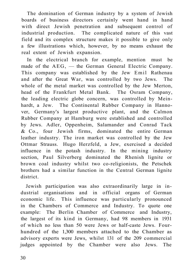The domination of German industry by a system of Jewish boards of business directors certainly went hand in hand with direct Jewish penetration and subsequent control of industrial production. The complicated nature of this vast field and its complex structure makes it possible to give only a few illustrations which, however, by no means exhaust the real extent of Jewish expansion.

In the electrical branch for example, mention must be made of the AEG, — the German General Electric Company. This company was established by the Jew Emil Rathenau and after the Great War, was controlled by two Jews. The whole of the metal market was controlled by the Jew Merton, head of the Frankfurt Metal Bank. The Osram Company, the leading electric globe concern, was controlled by Meinhardt, a Jew. The Continental Rubber Company in Hannover, Germany's largest productive plant, and the Calmon Rubber Company at Hamburg were established and controlled by Jews. Adler, Oppenheim, Salamander and Conrad Tack & Co., four Jewish firms, dominated the entire German leather industry. The iron market was controlled by the Jew Ottmar Strauss. Hugo Herzfeld, a Jew, exercised a decided influence in the potash industry. In the mining industry section, Paul Silverberg dominated the Rhenish lignite or brown coal industry whilst two co-religionists, the Petschek brothers had a similar function in the Central German lignite district.

Jewish participation was also extraordinarily large in industrial organisations and in official organs of German economic life. This influence was particularly pronounced in the Chambers of Commerce and Industry. To quote one example: The Berlin Chamber of Commerce and Industry, the largest of its kind in Germany, had 98 members in 1931 of which no less than 50 were Jews or half-caste Jews. Fourhundred of the 1,300 members attached to the Chamber as advisory experts were Jews, whilst 131 of the 209 commercial judges appointed by the Chamber were also Jews. The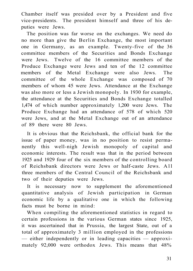Chamber itself was presided over by a President and five vice-presidents. The president himself and three of his deputies were Jews.

The position was far worse on the exchanges. We need do no more than give the Berlin Exchange, the most important one in Germany, as an example. Twenty-five of the 36 committee members of the Securities and Bonds Exchange were Jews. Twelve of the 16 committee members of the Produce Exchange were Jews and ten of the 12 committee members of the Metal Exchange were also Jews. The committee of the whole Exchange was composed of 70 members of whom 45 were Jews. Attendance at the Exchange was also more or less a Jewish monopoly. In 1930 for example, the attendance at the Securities and Bonds Exchange totalled 1,474 of which number approximately 1,200 were Jews. The Produce Exchange had an attendance of 578 of which 520 were Jews, and at the Metal Exchange out of an attendance of 89 there were 80 Jews.

It is obvious that the Reichsbank, the official bank for the issue of paper money, was in no position to resist permanently this well-nigh Jewish monopoly of capital and economic interests. The result was that in the period between 1925 and 1929 four of the six members of the controlling board of Reichsbank directors were Jews or half-caste Jews. All three members of the Central Council of the Reichsbank and two of their deputies were Jews.

It is necessary now to supplement the aforementioned quantitative analysis of Jewish participation in German economic life by a qualitative one in which the following facts must be borne in mind:

When compiling the aforementioned statistics in regard to certain professions in the various German states since 1925, it was ascertained that in Prussia, the largest State, out of a total of approximately 3 million employed in the professions — either independently or in leading capacities — approximately 92,000 were orthodox Jews. This means that 48%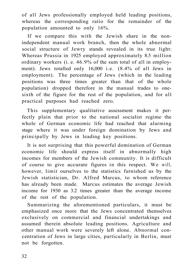of all Jews professionally employed held leading positions, whereas the corresponding ratio for the remainder of the population amounted to only 16%.

If we compare this with the Jewish share in the nonindependent manual work branch, then the whole abnormal social structure of Jewry stands revealed in its true light: Whereas Prussia in 1925 employed approximately 8.5 million ordinary workers (i. e. 46.9% of the sum total of all in employment). Jews totalled only 16,000 i.e. (8.4% of all Jews in employment). The percentage of Jews (which in the leading positions was three times greater than that of the whole population) dropped therefore in the manual trades to onesixth of the figure for the rest of the population, and for all practical purposes had reached zero.

This supplementary qualitative assessment makes it perfectly plain that prior to the national socialist regime the whole of German economic life had reached that alarming stage where it was under foreign domination by Jews and principally by Jews in leading key positions.

It is not surprising that this powerful domination of German economic life should express itself in abnormally high incomes for members of the Jewish community. It is difficult of course to give accurate figures in this respect. We will, however, limit ourselves to the statistics furnished us by the Jewish statistician, Dr. Alfred Marcus, to whom reference has already been made. Marcus estimates the average Jewish income for 1930 as 3.2 times greater than the average income of the rest of the population.

Summarizing the aforementioned particulars, it must be emphasized once more that the Jews concentrated themselves exclusively on commercial and financial undertakings and assumed therein absolute leading positions. Agriculture and other manual work were severely left alone. Abnormal concentration of Jews in large cities, particularly in Berlin, must not be forgotten.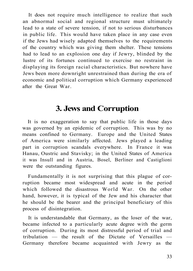It does not require much intelligence to realize that such an abnormal social and regional structure must ultimately lead to a state of severe tension, if not to serious disturbances in public life. This would have taken place in any case even if the Jews had wisely adapted themselves to the requirements of the country which was giving them shelter. These tensions had to lead to an explosion one day if Jewry, blinded by the lustre of its fortunes continued to exercise no restraint in displaying its foreign racial characteristics. But nowhere have Jews been more downright unrestrained than during the era of economic and political corruption which Germany experienced after the Great War.

#### **3. Jews and Corruption**

It is no exaggeration to say that public life in those days was governed by an epidemic of corruption. This was by no means confined to Germany. Europe and the United States of America were similarly affected. Jews played a leading part in corruption scandals everywhere. In France it was Hanau, Oustric and Stavisky; in the United States of America it was Insull and in Austria, Bosel, Berliner and Castiglioni were the outstanding figures.

Fundamentally it is not surprising that this plague of corruption became most widespread and acute in the period which followed the disastrous World War. On the other hand, however, it is typical of the Jew and his character that he should be the bearer and the principal beneficiary of this process of disintegration.

It is understandable that Germany, as the loser of the war, became infected to a particularly acute degree with the germ of corruption. During its most distressful period of trial and tribulation — the result of the Dictate of Versailles — Germany therefore became acquainted with Jewry as the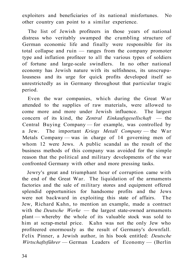exploiters and beneficiaries of its national misfortunes. No other country can point to a similar experience.

The list of Jewish profiteers in those years of national distress who veritably swamped the crumbling structure of German economic life and finally were responsible for its total collapse and ruin — ranges from the company promoter type and inflation profiteer to all the various types of soldiers of fortune and large-scale swindlers. In no other national economy has Jewish nature with its selfishness, its unscrupulousness and its urge for quick profits developed itself so unrestrictedly as in Germany throughout that particular tragic period.

Even the war companies, which during the Great War attended to the supplies of raw materials, were allowed to come more and more under Jewish influence. The largest concern of its kind, the *Zentral Einkaufsgesellschaft* — the Central Buying Company — for example, was controlled by a Jew. The important *Kriegs Metall Company* — the War Metals Company — was in charge of 14 governing men of whom 12 were Jews. A public scandal as the result of the business methods of this company was avoided for the simple reason that the political and military developments of the war confronted Germany with other and more pressing tasks.

Jewry's great and triumphant hour of corruption came with the end of the Great War. The liquidation of the armaments factories and the sale of military stores and equipment offered splendid opportunities for handsome profits and the Jews were not backward in exploiting this state of affairs. The Jew, Richard Kahn, to mention an example, made a contract with the *Deutsche Werke* — the largest state-owned armaments plant — whereby the whole of its valuable stock was sold to him at scrap-metal price. Kahn was not the only Jew who profiteered enormously as the result of Germany's downfall. Felix Pinner, a Jewish author, in his book entitled: *Deutsche Wirtschaftsführer* — German Leaders of Economy — (Berlin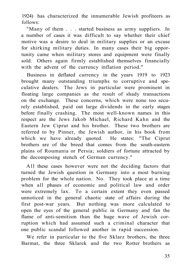1924) has characterized the innumerable Jewish profiteers as follows:

"Many of them . . . started business as army suppliers. In a number of cases it was difficult to say whether their chief motive was a desire to deal in military supplies or an excuse for shirking military duties. In many cases their big opportunity came when military stores and equipment were finally sold. Others again firmly established themselves financially with the advent of the currency inflation period."

Business in deflated currency in the years 1919 to 1923 brought many outstanding triumphs to corruptive and speculative dealers. The Jews in particular were prominent in floating large companies as the result of shady transactions on the exchange. These concerns, which were none too securely established, paid out large dividends in the early stages before finally crashing. The most well-known names in this respect are the Jews Jakob Michael, Richard Kahn and the Eastern Jew Ciprut and his brother. These two brothers are referred to by Pinner, the Jewish author, in his book from which we have already quoted. He states: "The Ciprut brothers are of the breed that comes from the south-eastern plains of Roumania or Persia; soldiers of fortune attracted by the decomposing stench of German currency."

All these cases however were not the deciding factors that turned the Jewish question in Germany into a most burning problem for the whole nation. No. They took place at a time when all phases of economic and political law and order were extremely lax. To a certain extent they even passed unnoticed in the general chaotic state of affairs during the first post-war years. But nothing was more calculated to open the eyes of the general public in Germany and fan the flame of anti-semitism than the huge wave of Jewish corruption which had assumed such a criminal character that one public scandal followed another in rapid succession.

We refer in particular to the five Sklarz brothers, the three Barmat, the three Sklarek and the two Rotter brothers as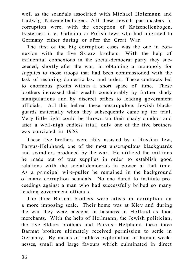well as the scandals associated with Michael Holzmann and Ludwig Katzenellenbogen. All these Jewish past-masters in corruption were, with the exception of Katzenellenbogen, Easterners i. e. Galician or Polish Jews who had migrated to Germany either during or after the Great War.

The first of the big corruption cases was the one in connexion with the five Sklarz brothers. With the help of influential connexions in the social-democrat party they succeeded, shortly after the war, in obtaining a monopoly for supplies to those troops that had been commissioned with the task of restoring domestic law and order. These contracts led to enormous profits within a short space of time. These brothers increased their wealth considerably by further shady manipulations and by discreet bribes to leading government officials. All this helped these unscrupulous Jewish blackguards materially when they subsequently came up for trial. Very little light could be thrown on their shady conduct and after a well-nigh endless trial, only one of the five brothers was convicted in 1926.

These five brothers were ably assisted by a Russian Jew, Parvus-Helphand, one of the most unscrupulous blackguards and swindlers produced by the war. He utilized the millions he made out of war supplies in order to establish good relations with the social-democrats in power at that time. As a principal wire-puller he remained in the background of many corruption scandals. No one dared to institute proceedings against a man who had successfully bribed so many leading government officials.

The three Barmat brothers were artists in corruption on a more imposing scale. Their home was at Kiev and during the war they were engaged in business in Holland as food merchants. With the help of Heilmann, the Jewish politician, the five Sklarz brothers and Parvus - Helphand these three Barmat brothers ultimately received permission to settle in Germany. By means of ruthless exploitation of human weaknesses, small and large favours which culminated in direct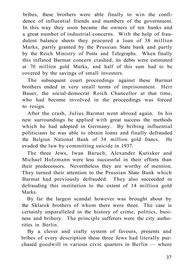bribes, these brothers were able finally to win the confidence of influential friends and members of the government. In this way they soon became the owners of ten banks and a great number of industrial concerns. With the help of fraudulent balance sheets they procured a loan of 38 million Marks, partly granted by the Prussian State bank and partly by the Reich Ministry of Posts and Telegraphs. When finally this inflated Barmat concern crashed, its debts were estimated at 70 million gold Marks, and half of this sum had to be covered by the savings of small investors.

The subsequent court proceedings against these Barmat brothers ended in very small terms of imprisonment. Herr Bauer, the social-democrat Reich Chancellor at that time, who had become involved in the proceedings was forced to resign.

After the crash, Julius Barmat went abroad again. In his new surroundings he applied with great success the methods which he had adopted in Germany. By bribing influential politicians he was able to obtain loans and finally defrauded the Belgian National Bank of 34 million gold francs. He evaded the law by committing suicide in 1937.

The three Jews, Iwan Baruch, Alexander Kutisker and Michael Holzmann were less successful in their efforts than their predecessors. Nevertheless they are worthy of mention. They turned their attention to the Prussian State Bank which Barmat had previously defrauded. They also succeeded in defrauding this institution to the extent of 14 million gold Marks.

By far the largest scandal however was brought about by the Sklarek brothers of whom there were three. The case is certainly unparalleled in the history of crime, politics, business and bribery. The principle sufferers were the city authorities in Berlin.

By a clever and crafty system of favours, presents and bribes of every description these three Jews had literally purchased goodwill in various civic quarters in Berlin — where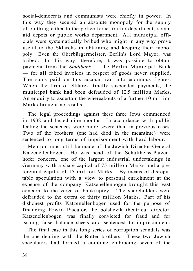social-democrats and communists were chiefly in power. In this way they secured an absolute monopoly for the supply of clothing either to the police force, traffic department, social aid depots or public works department. All municipal officials were systematically bribed who might in any way prove useful to the Sklareks in obtaining and keeping their monopoly. Even the Oberbürgermeister, Berlin's Lord Mayor, was bribed. In this way, therefore, it was possible to obtain payment from the *Stadtbank* — the Berlin Municipal Bank — for all faked invoices in respect of goods never supplied. The sums paid on this account ran into enormous figures. When the firm of Sklarek finally suspended payments, the municipal bank had been defrauded of 12,5 million Marks. An enquiry to ascertain the whereabouts of a further 10 million Marks brought no results.

The legal proceedings against these three Jews commenced in 1932 and lasted nine months. In accordance with public feeling the sentences were more severe than in previous cases. Two of the brothers (one had died in the meantime) were sentenced to long terms of imprisonment with hard labour.

Mention must still be made of the Jewish Director-General Katzenellenbogen. He was head of the Schultheiss-Patzenhofer concern, one of the largest industrial undertakings in Germany with a share capital of 75 million Marks and a preferential capital of 15 million Marks. By means of disreputable speculation with a view to personal enrichment at the expense of the company, Katzenellenbogen brought this vast concern to the verge of bankruptcy. The shareholders were defrauded to the extent of thirty million Marks. Part of his dishonest profits Katzenellenbogen used for the purpose of financing Erwin Piscator, the bolshevik theatrical director. Katzenellenbogen was finally convicted for fraud and for issuing false balance sheets and sentenced to imprisonment.

The final case in this long series of corruption scandals was the one dealing with the Rotter brothers. These two Jewish speculators had formed a combine embracing seven of the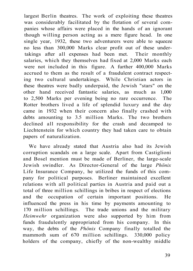largest Berlin theatres. The work of exploiting these theatres was considerably facilitated by the flotation of several companies whose affairs were placed in the hands of an ignorant though willing person acting as a mere figure head. In one single year, 1932, these two adventurers were able to squeeze no less than 300,000 Marks clear profit out of these undertakings after all expenses had been met. Their monthly salaries, which they themselves had fixed at 2,000 Marks each were not included in this figure. A further 400,000 Marks accrued to them as the result of a fraudulent contract respecting two cultural undertakings. While Christian actors in these theatres were badly underpaid, the Jewish "stars" on the other hand received fantastic salaries, as much as 1,000 to 2,500 Marks per evening being no rare occurrence. The Rotter brothers lived a life of splendid luxury and the day came in 1932 when their concern also finally crashed with debts amounting to 3.5 million Marks. The two brothers declined all responsibility for the crash and decamped to Liechtenstein for which country they had taken care to obtain papers of naturalization.

We have already stated that Austria also had its Jewish corruption scandals on a large scale. Apart from Castiglioni and Bosel mention must be made of Berliner, the large-scale Jewish swindler. As Director-General of the large *Phönix*  Life Insurance Company, he utilized the funds of this company for political purposes. Berliner maintained excellent relations with all political parties in Austria and paid out a total of three million schillings in bribes in respect of elections and the occupation of certain important positions. He influenced the press in his time by payments amounting to 170 million schillings. The trade unions and the military *Heimwehr* organization were also supported by him from funds fraudulently appropriated from his company. In this way, the debts of the *Phönix* Company finally totalled the mammoth sum of 670 million schillings. 330,000 policy holders of the company, chiefly of the non-wealthy middle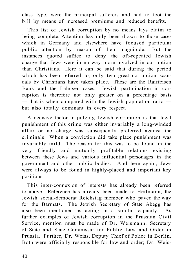class type, were the principal sufferers and had to foot the bill by means of increased premiums and reduced benefits.

This list of Jewish corruption by no means lays claim to being complete. Attention has only been drawn to those cases which in Germany and elsewhere have focused particular public attention by reason of their magnitude. But the instances quoted suffice to deny the oft-repeated Jewish charge that Jews were in no way more involved in corruption than Christians. Here it can be said that during the period which has been referred to, only two great corruption scandals by Christians have taken place. These are the Raiffeisen Bank and the Lahusen cases. Jewish participation in corruption is therefore not only greater on a percentage basis — that is when compared with the Jewish population ratio but also totally dominant in every respect.

A decisive factor in judging Jewish corruption is that legal punishment of this crime was either invariably a long-winded affair or no charge was subsequently preferred against the criminals. When a conviction did take place punishment was invariably mild. The reason for this was to be found in the very friendly and mutually profitable relations existing between these Jews and various influential personages in the government and other public bodies. And here again, Jews were always to be found in highly-placed and important key positions.

This inter-connexion of interests has already been referred to above. Reference has already been made to Heilmann, the Jewish social-democrat Reichstag member who paved the way for the Barmats. The Jewish Secretary of State Abegg has also been mentioned as acting in a similar capacity. As further examples of Jewish corruption in the Prussian Civil Service, mention must be made of Dr. Weismann, Secretary of State and State Commissar for Public Law and Order in Prussia. Further, Dr. Weiss, Deputy Chief of Police in Berlin. Both were officially responsible for law and order; Dr. Weis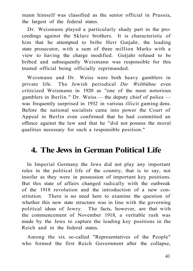mann himself was classified as the senior official in Prussia, the largest of the federal states.

Dr. Weismann played a particularly shady part in the proceedings against the Sklarz brothers. It is characteristic of him that he attempted to bribe Herr Gutjahr, the leading state prosecutor, with a sum of three million Marks with a view to having the charge modified. Gutjahr refused to be bribed and subsequently Weismann was responsible for this trusted official being officially reprimanded.

Weismann and Dr. Weiss were both heavy gamblers in private life. The Jewish periodical *Die Weltbühne* even criticized Weismann in 1920 as "one of the most notorious gamblers in Berlin." Dr. Weiss — the deputy chief of police was frequently surprised in 1932 in various illicit gaming dens. Before the national socialists came into power the Court of Appeal in Berlin even confirmed that he had committed an offence against the law and that he "did not possess the moral qualities necessary for such a responsible position."

## **4. The Jews in German Political Life**

In Imperial Germany the Jews did not play any important roles in the political life of the country, that is to say, not insofar as they were in possession of important key positions. But this state of affairs changed radically with the outbreak of the 1918 revolution and the introduction of a new constitution. There is no need here to examine the question of whether this new state structure was in line with the governing political ideas of Jewry. The facts, however, are that with the commencement of November 1918, a veritable rush was made by the Jews to capture the leading key positions in the Reich and in the federal states.

Among the six so-called "Representatives of the People" who formed the first Reich Government after the collapse,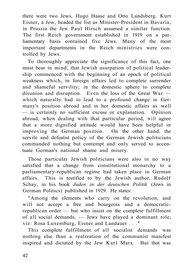there were two Jews, Hugo Haase and Otto Landsberg. Kurt Eisner, a Jew, headed the list as Minister-President in Bavaria; in Prussia the Jew Paul Hirsch assumed a similar function. The first Reich government established in 1919 on a parliamentary basis contained five Jews. Many of the most important departments in the Reich ministries were controlled by Jews.

To thoroughly appreciate the significance of this fact, one must bear in mind, that Jewish usurpation of political leadership commenced with the beginning of an epoch of political weakness which, in foreign affairs led to complete surrender and shameful servility; in the domestic sphere to complete disunion and disruption. Even the loss of the Great War which naturally had to lead to a profound change in Germany's position abroad and in her domestic affairs as well — is certainly no sufficient excuse or explanation. Opinion abroad, when dealing with that particular period, will agree that a more dignified attitude would have been helpful in improving the German position. On the other hand, the servile and defeatist policy of the German Jewish politicians commanded nothing but contempt and only served to accentuate German's national shame and misery.

Those particular Jewish politicians were also in no way satisfied that a change from constitutional monarchy to a parliamentary-republican regime had taken place in German affairs. This is testified to by the Jewish author, Rudolf Schay, in his book *Juden in der deutschen Politik* (Jews in German Politics) published in 1929. He states:

"Among the elements who carry on the revolution, and will not accept a free and bourgeois and a democraticrepublican order — but who insist on the complete fulfillment of all social demands, — Jews have played a dominant role; viz: Rosa Luxemburg, Eisner and Landauer . . ."

This complete fulfillment of all socialist demands was nothing else than a realization of the communist manifest inspired and dictated by the Jew Karl Marx. But that was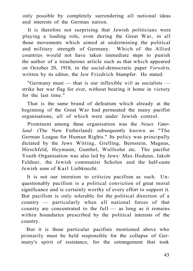only possible by completely surrendering all national ideas and interests of the German nation.

It is therefore not surprising that Jewish politicians were playing a leading role, even during the Great War, in all those movements which aimed at undermining the political and military strength of Germany. Which of the Allied countries would not have taken immediate steps to punish the author of a treacherous article such as that which appeared on October 20, 1918, in the social-democratic paper *Vorwärts,*  written by its editor, the Jew Friedrich Stampfer. He stated:

"Germany must — that is our inflexible will as socialists strike her war flag for ever, without bearing it home in victory for the last time."

That is the same brand of defeatism which already at the beginning of the Great War had permeated the many pacifist organisations, all of which were under Jewish control.

Prominent among these organisation was the *Neues Vaterland* (The New Fatherland) subsequently known as "The German League for Human Rights." Its policy was principally dictated by the Jews Witting, Grelling, Bernstein, Magnus, Hirschfeld, Heymann, Gumbel, Wulfsohn etc. The pacifist Youth Organisation was also led by Jews: Max Hodann, Jakob Feldner, the Jewish communist Scholen and the half-caste Jewish sons of Karl Liebknecht.

It is not our intention to criticize pacifism as such. Unquestionably pacifism is a political conviction of great moral significance and is certainly worthy of every effort to support it. But pacifism is only tolerable for the political direction of a country — particularly when all national forces of that country are concentrated to the full  $-$  as long as it remains within boundaries prescribed by the political interests of the country.

But it is those particular pacifists mentioned above who primarily must be held responsible for the collapse of Germany's spirit of resistance, for the estrangement that took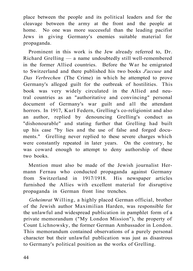place between the people and its political leaders and for the cleavage between the army at the front and the people at home. No one was more successful than the leading pacifist Jews in giving Germany's enemies suitable material for propaganda.

Prominent in this work is the Jew already referred to, Dr. Richard Grelling — a name undoubtedly still well-remembered in the former Allied countries. Before the War he emigrated to Switzerland and there published his two books *J'accuse* and *Das Verbrechen* (The Crime) in which he attempted to prove Germany's alleged guilt for the outbreak of hostilities. This book was very widely circulated in the Allied and neutral countries as an "authoritative and convincing" personal document of Germany's war guilt and all the attendant horrors. In 1917, Karl Federn, Grelling's co-religionist and also an author, replied by denouncing Grelling's conduct as "dishonourable" and stating further that Grelling had built up his case "by lies and the use of false and forged documents." Grelling never replied to these severe charges which were constantly repeated in later years. On the contrary, he was coward enough to attempt to deny authorship of these two books.

Mention must also be made of the Jewish journalist Hermann Fernau who conducted propaganda against Germany from Switzerland in 1917/1918. His newspaper articles furnished the Allies with excellent material for disruptive propaganda in German front line trenches.

*Geheimrat* Willing, a highly placed German official, brother of the Jewish author Maximilian Harden, was responsible for the unlawful and widespread publication in pamphlet form of a private memorandum ("My London Mission"), the property of Count Lichnowsky, the former German Ambassador in London. This memorandum contained observations of a purely personal character but their unlawful publication was just as disastrous to Germany's political position as the works of Grelling.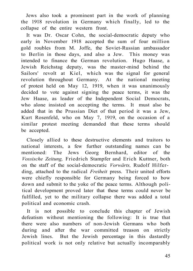Jews also took a prominent part in the work of planning the 1918 revolution in Germany which finally, led to the collapse of the entire western front.

It was Dr. Oscar Cohn, the social-democratic deputy who early in November 1918 accepted the sum of four million gold roubles from M. Joffe, the Soviet-Russian ambassador to Berlin in those days, and also a Jew. This money was intended to finance the German revolution. Hugo Haase, a Jewish Reichstag deputy, was the master-mind behind the Sailors' revolt at Kiel, which was the signal for general revolution throughout Germany. At the national meeting of protest held on May 12, 1919, when it was unanimously decided to vote against signing the peace terms, it was the Jew Haase, as leader of the Independent Social Democrats, who alone insisted on accepting the terms. It must also be added that in the Prussian Diet of that period it was a Jew, Kurt Rosenfeld, who on May 7, 1919, on the occasion of a similar protest meeting demanded that these terms should be accepted.

Closely allied to these destructive elements and traitors to national interests, a few further outstanding names can be mentioned: The Jews Georg Bernhard, editor of the *Vossische Zeitung,* Friedrich Stampfer and Erich Kuttner, both on the staff of the social-democratic *Vorwärts,* Rudolf Hilferding, attached to the radical *Freiheit* press. Their united efforts were chiefly responsible for Germany being forced to bow down and submit to the yoke of the peace terms. Although political development proved later that these terms could never be fulfilled, yet to the military collapse there was added a total political and economic crash.

It is not possible to conclude this chapter of Jewish defeatism without mentioning the following: It is true that there were also numbers of non-Jewish Germans who both during and after the war committed treason on strictly Jewish lines. But the Jewish percentage in this dastardly political work is not only relative but actually incomparably

45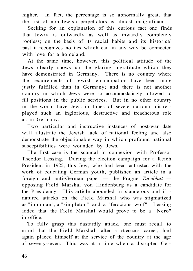higher. In fact, the percentage is so abnormally great, that the list of non-Jewish perpetrators is almost insignificant.

Seeking for an explanation of this curious fact one finds that Jewry is outwardly as well as inwardly completely rootless; on the basis of its racial habits and its historical past it recognizes no ties which can in any way be connected with love for a homeland.

At the same time, however, this political attitude of the Jews clearly shows up the glaring ingratitude which they have demonstrated in Germany. There is no country where the requirements of Jewish emancipation have been more justly fulfilled than in Germany; and there is not another country in which Jews were so accommodatingly allowed to fill positions in the public services. But in no other country in the world have Jews in times of severe national distress played such an inglorious, destructive and treacherous role as in Germany.

Two particular and instructive instances of post-war date will illustrate the Jewish lack of national feeling and also demonstrate the objectionable way in which profound national susceptibilities were wounded by Jews.

The first case is the scandal in connexion with Professor Theodor Lessing. During the election campaign for a Reich President in 1925, this Jew, who had been entrusted with the work of educating German youth, published an article in a foreign and anti-German paper — the Prague *Tageblatt*  opposing Field Marshal von Hindenburg as a candidate for the Presidency. This article abounded in slanderous and illnatured attacks on the Field Marshal who was stigmatized as "inhuman", a "simpleton" and a "ferocious wolf". Lessing added that the Field Marshal would prove to be a "Nero" in office.

To fully grasp this dastardly attack, one must recall to mind that the Field Marshal, after a strenuous career, had again placed himself at the service of the country at the age of seventy-seven. This was at a time when a disrupted Ger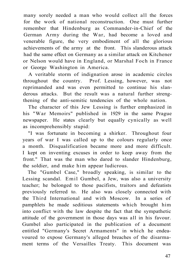many sorely needed a man who would collect all the forces for the work of national reconstruction. One must further remember that Hindenburg as Commander-in-Chief of the German Army during the War, had become a loved and venerable figure, the very embodiment of all the glorious achievements of the army at the front. This slanderous attack had the same effect on Germany as a similar attack on Kitchener or Nelson would have in England, or Marshal Foch in France or George Washington in America.

A veritable storm of indignation arose in academic circles throughout the country. Prof. Lessing, however, was not reprimanded and was even permitted to continue his slanderous attacks. But the result was a natural further strengthening of the anti-semitic tendencies of the whole nation.

The character of this Jew Lessing is further emphasized in his "War Memoirs" published in 1929 in the same Prague newspaper. He states clearly but equally cynically as well as incomprehensibly stupid:

"I was fortunate in becoming a shirker. Throughout four years of war I was called up to the colours regularly once a month. Disqualification became more and more difficult. I kept on inventing excuses in order to keep away from the front." That was the man who dared to slander Hindenburg, the soldier, and make him appear ludicrous.

The "Gumbel Case," broadly speaking, is similar to the Lessing scandal. Emil Gumbel, a Jew, was also a university teacher; he belonged to those pacifists, traitors and defeatists previously referred to. He also was closely connected with the Third International and with Moscow. In a series of pamphlets he made seditious statements which brought him into conflict with the law despite the fact that the sympathetic attitude of the government in those days was all in his favour. Gumbel also participated in the publication of a document entitled "Germany's Secret Armaments" in which he endeavoured to expose Germany's alleged breaches of the disarmament terms of the Versailles Treaty. This document was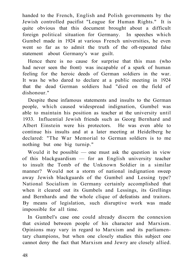handed to the French, English and Polish governments by the Jewish controlled pacifist "League for Human Rights." It is quite obvious that this document brought about a difficult foreign political situation for Germany. In speeches which Gumbel made in 1924 at various French universities, he even went so far as to admit the truth of the oft-repeated false statement about Germany's war guilt.

Hence there is no cause for surprise that this man (who had never seen the front) was incapable of a spark of human feeling for the heroic deeds of German soldiers in the war. It was he who dared to declare at a public meeting in 1924 that the dead German soldiers had "died on the field of dishonour."

Despite these infamous statements and insults to the German people, which caused widespread indignation, Gumbel was able to maintain his position as teacher at the university until 1933. Influential Jewish friends such as Georg Bernhard and Albert Einstein were his protectors. He was even able to continue his insults and at a later meeting at Heidelberg he declared: "The War Memorial to German soldiers is to me nothing but one big turnip."

Would it be possible — one must ask the question in view of this blackguardism — for an English university teacher to insult the Tomb of the Unknown Soldier in a similar manner? Would not a storm of national indignation sweep away Jewish blackguards of the Gumbel and Lessing type? National Socialism in Germany certainly accomplished that when it cleared out its Gumbels and Lessings, its Grellings and Bernhards and the whole clique of defeatists and traitors. By means of legislation, such disruptive work was made impossible for all time.

In Gumbel's case one could already discern the connexion that existed between people of his character and Marxism. Opinions may vary in regard to Marxism and its parliamentary champions, but when one closely studies this subject one cannot deny the fact that Marxism and Jewry are closely allied.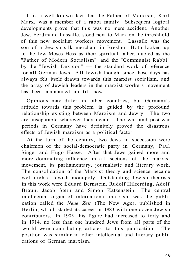It is a well-known fact that the Father of Marxism, Karl Marx, was a member of a rabbi family. Subsequent logical developments prove that this was no mere accident. Another Jew, Ferdinand Lassalle, stood next to Marx on the threshhold of this new socialist workers movement. Lassalle was the son of a Jewish silk merchant in Breslau. Both looked up to the Jew Moses Hess as their spiritual father, quoted as the "Father of Modern Socialism" and the "Communist Rabbi" by the "Jewish Lexicon" — the standard work of reference for all German Jews. All Jewish thought since those days has always felt itself drawn towards this marxist socialism, and the array of Jewish leaders in the marxist workers movement has been maintained up till now.

Opinions may differ in other countries, but Germany's attitude towards this problem is guided by the profound relationship existing between Marxism and Jewry. The two are inseparable wherever they occur. The war and post-war periods in Germany have definitely proved the disastrous effects of Jewish marxism as a political factor.

At the turn of the century, two Jews in succession were chairmen of the social-democratic party in Germany, Paul Singer and Hugo Haase. After that Jews gained more and more dominating influence in all sections of the marxist movement, its parliamentary, journalistic and literary work. The consolidation of the Marxist theory and science became well-nigh a Jewish monopoly. Outstanding Jewish theorists in this work were Eduard Bernstein, Rudolf Hilferding, Adolf Braun, Jacob Stern and Simon Katzenstein. The central intellectual organ of international marxism was the publication called the *Neue Zeit* (The New Age), published in Berlin, which started its career in 1883 with one dozen Jewish contributors. In 1905 this figure had increased to forty and in 1914, no less than one hundred Jews from all parts of the world were contributing articles to this publication. The position was similar in other intellectual and literary publications of German marxism.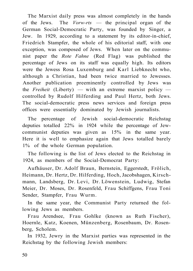The Marxist daily press was almost completely in the hands of the Jews. The *Vorw-rts* — the principal organ of the German Social-Democratic Party, was founded by Singer, a Jew. In 1929, according to a statement by its editor-in-chief, Friedrich Stampfer, the whole of his editorial staff, with one exception, was composed of Jews. When later on the communist paper the *Rote Fahne* (Red Flag) was published the percentage of Jews on its staff was equally high. Its editors were the Jewess Rosa Luxemburg and Karl Liebknecht who, although a Christian, had been twice married to Jewesses. Another publication preeminently controlled by Jews was the *Freiheit* (Liberty) — with an extreme marxist policy controlled by Rudolf Hilferding and Paul Hertz, both Jews. The social-democratic press news services and foreign press offices were essentially dominated by Jewish journalists.

The percentage of Jewish social-democratic Reichstag deputies totalled 22% in 1924 while the percentage of Jewcommunist deputies was given as 15% in the same year. Here it is well to emphasize again that Jews totalled barely 1% of the whole German population.

The following is the list of Jews elected to the Reichstag in 1924, as members of the Social-Democrat Party:

Aufhäuser, Dr. Adolf Braun, Bernstein, Eggerstedt, Frölich, Heimann, Dr. Hertz, Dr. Hilferding, Hoch, Jacobshagen, Kirschmann, Landsberg, Dr. Levi, Dr. Löwenstein, Ludwig, Stefan Meier, Dr. Moses, Dr. Rosenfeld, Frau Schiffgens, Frau Toni Sender, Stampfer, Frau Wurm.

In the same year, the Communist Party returned the following Jews as members.

Frau Arendsee, Frau Gohlke (known as Ruth Fischer), Hoernle, Katz, Koenen, Münzenberg, Rosenbaum, Dr. Rosenberg, Scholem.

In 1932, Jewry in the Marxist parties was represented in the Reichstag by the following Jewish members: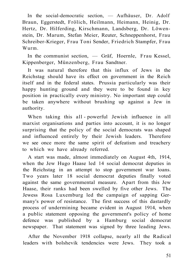In the social-democratic section, — Aufhäuser, Dr. Adolf Braun, Eggerstedt, Frölich, Heilmann, Heimann, Heinig, Dr. Hertz, Dr. Hilferding, Kirschmann, Landsberg, Dr. Löwenstein, Dr. Marum, Stefan Meier, Reuter, Schneppenhorst, Frau Schreiber-Krieger, Frau Toni Sender, Friedrich Stampfer, Frau Wurm.

In the communist section, — Gräf, Hoernle, Frau Kessel, Kippenberger, Münzenberg, Frau Sandtner.

It was natural therefore that this influx of Jews in the Reichstag should have its effect on government in the Reich itself and in the federal states. Prussia particularly was their happy hunting ground and they were to be found in key position in practically every ministry. No important step could be taken anywhere without brushing up against a Jew in authority.

When taking this all - powerful Jewish influence in all marxist organisations and parties into account, it is no longer surprising that the policy of the social democrats was shaped and influenced entirely by their Jewish leaders. Therefore we see once more the same spirit of defeatism and treachery to which we have already referred.

A start was made, almost immediately on August 4th, 1914, when the Jew Hugo Haase led 14 social democrat deputies in the Reichstag in an attempt to stop government war loans. Two years later 18 social democrat deputies finally voted against the same governmental measure. Apart from this Jew Haase, their ranks had been swelled by five other Jews. The Jewess Rosa Luxemburg led the campaign of sapping Germany's power of resistance. The first success of this dastardly process of undermining became evident in August 1914, when a public statement opposing the government's policy of home defence was published by a Hamburg social democrat newspaper. That statement was signed by three leading Jews.

After the November 1918 collapse, nearly all the Radical leaders with bolshevik tendencies were Jews. They took a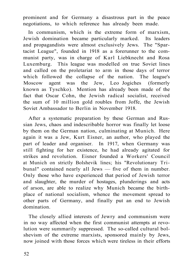prominent and for Germany a disastrous part in the peace negotiations, to which reference has already been made.

In communism, which is the extreme form of marxism, Jewish domination became particularly marked. Its leaders and propagandists were almost exclusively Jews. The "Spartacist League", founded in 1918 as a forerunner to the communist party, was in charge of Karl Liebknecht and Rosa Luxemburg. This league was modelled on true Soviet lines and called on the proletariat to arm in those days of terror which followed the collapse of the nation. The league's Moscow agent was the Jew, Leo Jogiches (formerly known as Tyschko). Mention has already been made of the fact that Oscar Cohn, the Jewish radical socialist, received the sum of 10 million gold roubles from Joffe, the Jewish Soviet Ambassador to Berlin in November 1918.

After a systematic preparation by these German and Russian Jews, chaos and indescribable horror was finally let loose by them on the German nation, culminating at Munich. Here again it was a Jew, Kurt Eisner, an author, who played the part of leader and organiser. In 1917, when Germany was still fighting for her existence, he had already agitated for strikes and revolution. Eisner founded a Workers' Council at Munich on strictly Bolshevik lines; his "Revolutionary Tribunal" contained nearly all Jews — five of them in number. Only those who have experienced that period of Jewish terror and slaughter, the murder of hostages, plunderings and acts of arson, are able to realize why Munich became the birthplace of national socialism, whence the movement spread to other parts of Germany, and finally put an end to Jewish domination.

The closely allied interests of Jewry and communism were in no way affected when the first communist attempts at revolution were summarily suppressed. The so-called cultural bolshevism of the extreme marxists, sponsored mainly by Jews, now joined with those forces which were tireless in their efforts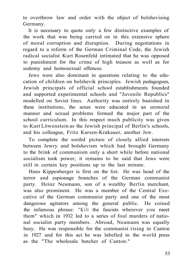to overthrow law and order with the object of bolshevising Germany.

It is necessary to quote only a few distinctive examples of the work that was being carried on in this extensive sphere of moral corruption and disruption. During negotiations in regard to a reform of the German Criminal Code, the Jewish radical socialist Kurt Rosenfeld intimated that he was opposed to punishment for the crime of high treason as well as for sodomy and homosexual offences.

Jews were also dominant in questions relating to the education of children on bolshevik principles. Jewish pedagogues, Jewish principals of official school establishments founded and supported experimental schools and "Juvenile Republics" modelled on Soviet lines. Authority was entirely banished in these institutions, the sexes were educated in an unmoral manner and sexual problems formed the major part of the school curriculum. In this respect much publicity was given to Kurt Löwenstein as the Jewish principal of Berlin's schools, and his colleague, Fritz Karsen-Krakauer, another Jew.

To complete the sordid picture of closely allied interests between Jewry and bolshevism which had brought Germany to the brink of communism only a short while before national socialism took power, it remains to be said that Jews were still in certain key positions up to the last minute.

Hans Kippenberger is first on the list. He was head of the terror and espionage branches of the German communist party. Heinz Neumann, son of a wealthy Berlin merchant, was also prominent. He was a member of the Central Executive of the German communist party and one of the most dangerous agitators among the general public. He coined the infamous phrase: "Kill the fascists wherever you meet them" which in 1932 led to a series of foul murders of national socialist party members. Abroad, Neumann was equally busy. He was responsible for the communist rising in Canton in 1927 and for this act he was labelled in the world press as the "The wholesale butcher of Canton."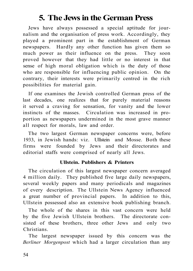# **5. The Jews in the German Press**

Jews have always possessed a special aptitude for journalism and the organisation of press work. Accordingly, they played a prominent part in the establishment of German newspapers. Hardly any other function has given them so much power as their influence on the press. They soon proved however that they had little or no interest in that sense of high moral obligation which is the duty of those who are responsible for influencing public opinion. On the contrary, their interests were primarily centred in the rich possibilities for material gain.

If one examines the Jewish controlled German press of the last decades, one realizes that for purely material reasons it served a craving for sensation, for vanity and the lower instincts of the masses. Circulation was increased in proportion as newspapers undermined in the most grave manner all respect for morals, law and order.

The two largest German newspaper concerns were, before 1933, in Jewish hands: viz. Ullstein and Mosse. Both these firms were founded by Jews and their directorates and editorial staffs were comprised of nearly all Jews.

### **Ullstein. Publishers & Printers**

The circulation of this largest newspaper concern averaged 4 million daily. They published five large daily newspapers, several weekly papers and many periodicals and magazines of every description. The Ullstein News Agency influenced a great number of provincial papers. In addition to this, Ullstein possessed also an extensive book publishing branch.

The whole of the shares in this vast concern were held by the five Jewish Ullstein brothers. The directorate consisted of these brothers, three other Jews and only two Christians.

The largest newspaper issued by this concern was the *Berliner Morgenpost* which had a larger circulation than any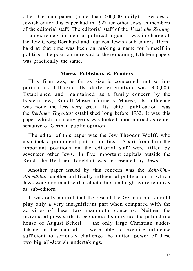other German paper (more than 600,000 daily). Besides a Jewish editor this paper had in 1927 ten other Jews as members of the editorial staff. The editorial staff of the *Vossische Zeitung*  — an extremely influential political organ — was in charge of the Jew Georg Bernhard and fourteen Jewish sub-editors. Bernhard at that time was keen on making a name for himself in politics. The position in regard to the remaining Ullstein papers was practically the same.

#### **Mosse. Publishers & Printers**

This firm was, as far as size is concerned, not so important as Ullstein. Its daily circulation was 350,000. Established and maintained as a family concern by the Eastern Jew, Rudolf Mosse (formerly Moses), its influence was none the less very great. Its chief publication was the *Berliner Tageblatt* established long before 1933. It was this paper which for many years was looked upon abroad as representative of German public opinion.

The editor of this paper was the Jew Theodor Wolff, who also took a prominent part in politics. Apart from him the important positions on the editorial staff were filled by seventeen other Jews. In five important capitals outside the Reich the Berliner Tageblatt was represented by Jews.

Another paper issued by this concern was the *Acht-Uhr-Abendblatt,* another politically influential publication in which Jews were dominant with a chief editor and eight co-religionists as sub-editors.

It was only natural that the rest of the German press could play only a very insignificant part when compared with the activities of these two mammoth concerns. Neither the provincial press with its economic disunity nor the publishing house of August Scherl — the only large Christian undertaking in the capital — were able to exercise influence sufficient to seriously challenge the united power of these two big all-Jewish undertakings.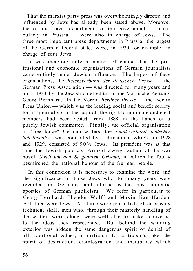That the marxist party press was overwhelmingly directed and influenced by Jews has already been stated above. Moreover the official press departments of the government — particularly in Prussia — were also in charge of Jews. The three most important press departments in Prussia, the largest of the German federal states were, in 1930 for example, in charge of four Jews.

It was therefore only a matter of course that the professional and economic organisations of German journalists came entirely under Jewish influence. The largest of these organisations, the *Reichsverband der deutschen Presse* — the German Press Association — was directed for many years and until 1933 by the Jewish chief editor of the Vossische Zeitung, Georg Bernhard. In the Verein *Berliner Presse* — the Berlin Press Union — which was the leading social and benefit society for all journalists in the capital, the right to nominate and elect members had been vested from 1888 in the hands of a purely Jewish committee. Finally, the official organisation of "free lance" German writers, the *Schutzverband deutscher Schriftsteller* was controlled by a directorate which, in 1928 and 1929, consisted of 90% Jews. Its president was at that time the Jewish publicist Arnold Zweig, author of the war novel, *Streit um den Sergeanten Grischa,* in which he foully besmirched the national honour of the German people.

In this connexion it is necessary to examine the work and the significance of those Jews who for many years were regarded in Germany and abroad as the most authentic apostles of German publicism. We refer in particular to Georg Bernhard, Theodor Wolff and Maximilian Harden. All three were Jews. All three were journalists of surpassing technical skill, men who, through their masterly handling of the written word alone, were well able to make "converts" to the ideas they represented. But behind the winning exterior was hidden the same dangerous spirit of denial of all traditional values, of criticism for criticism's sake, the spirit of destruction, disintegration and instability which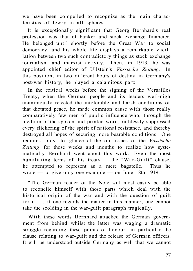we have been compelled to recognize as the main characteristics of Jewry in all spheres.

It is exceptionally significant that Georg Bernhard's real profession was that of banker and stock exchange financier. He belonged until shortly before the Great War to social democracy, and his whole life displays a remarkable vacillation between two such contradictory things as stock exchange journalism and marxist activity. Then, in 1913, he was appointed chief editor of Ullstein's *Vossische Zeitung.* In this position, in two different hours of destiny in Germany's post-war history, he played a calamitous part:

In the critical weeks before the signing of the Versailles Treaty, when the German people and its leaders well-nigh unanimously rejected the intolerable and harsh conditions of that dictated peace, he made common cause with those really comparatively few men of public influence who, through the medium of the spoken and printed word, ruthlessly suppressed every flickering of the spirit of national resistance, and thereby destroyed all hopes of securing more bearable conditions. One requires only to glance at the old issues of the *Vossische Zeitung* for those weeks and months to realize how systematically Bernhard went about this work. Even the most humiliating terms of this treaty — the "War-Guilt" clause, he attempted to represent as a mere bagatelle. Thus he wrote — to give only one example — on June 18th 1919:

"The German reader of the Note will most easily be able to reconcile himself with those parts which deal with the historical origin of the war and with the question of guilt for it ... if one regards the matter in this manner, one cannot take the scolding in the war-guilt paragraph tragically."

With these words Bernhard attacked the German government from behind whilst the latter was waging a dramatic struggle regarding these points of honour, in particular the clause relating to war-guilt and the release of German officers. It will be understood outside Germany as well that we cannot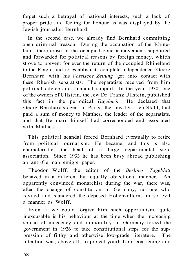forget such a betrayal of national interests, such a lack of proper pride and feeling for honour as was displayed by the Jewish journalist Bernhard.

In the second case, we already find Bernhard committing open criminal treason. During the occupation of the Rhineland, there arose in the occupied zone a movement, supported and forwarded for political reasons by foreign money, which strove to prevent for ever the return of the occupied Rhineland to the Reich, and to establish its complete independence. Georg Bernhard with his *Vossische Zeitung* got into contact with these Rhenish separatists. The separatists received from him political advice and financial support. In the year 1930, one of the owners of Ullstein, the Jew Dr. Franz Ullstein, published this fact in the periodical *Tagebuch.* He declared that Georg Bernhard's agent in Paris, the Jew Dr. Leo Stahl, had paid a sum of money to Matthes, the leader of the separatists, and that Bernhard himself had corresponded and associated with Matthes.

This political scandal forced Bernhard eventually to retire from political journalism. He became, and this is also characteristic, the head of a large departmental store association. Since 1933 he has been busy abroad publishing an anti-German emigre paper.

Theodor Wolff, the editor of the *Berliner Tageblatt*  behaved in a different but equally objectional manner. An apparently convinced monarchist during the war, there was, after the change of constitution in Germany, no one who reviled and slandered the deposed Hohenzollerns in so evil a manner as Wolff.

Even if we could forgive him such opportunism, quite inexcusable is his behaviour at the time when the increasing spread of indecency and immorality in Germany forced the government in 1926 to take constitutional steps for the suppression of filthy and otherwise low-grade literature. The intention was, above all, to protect youth from coarsening and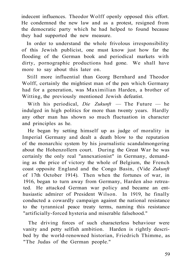indecent influences. Theodor Wolff openly opposed this effort. He condemned the new law and as a protest, resigned from the democratic party which he had helped to found because they had supported the new measure.

In order to understand the whole frivolous irresponsibility of this Jewish publicist, one must know just how far the flooding of the German book and periodical markets with dirty, pornographic productions had gone. We shall have more to say about this later on.

Still more influential than Georg Bernhard and Theodor Wolff, certainly the mightiest man of the pen which Germany had for a generation, was Maximilian Harden, a brother of Witting, the previously mentioned Jewish defeatist.

With his periodical, *Die Zukunft* — The Future — he indulged in high politics for more than twenty years. Hardly any other man has shown so much fluctuation in character and principles as he.

He began by setting himself up as judge of morality in Imperial Germany and dealt a death blow to the reputation of the monarchic system by his journalistic scandalmongering about the Hohenzollern court. During the Great War he was certainly the only real "annexationist" in Germany, demanding as the price of victory the whole of Belgium, the French coast opposite England and the Congo Basin, (Vide *Zukunft*  of 17th October 1914). Then when the fortunes of war, in 1916, began to turn away from Germany, Harden also retreated. He attacked German war policy and became an enthusiastic admirer of President Wilson. In 1919, he finally conducted a cowardly campaign against the national resistance to the tyrannical peace treaty terms, naming this resistance "artificially-forced hysteria and miserable falsehood."

The driving forces of such characterless behaviour were vanity and petty selfish ambition. Harden is rightly described by the world-renowned historian, Friedrich Thimme, as "The Judas of the German people."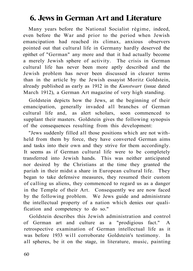# **6. Jews in German Art and Literature**

Many years before the National Socialist régime, indeed, even before the War and prior to the period when Jewish emancipation had reached its climax, anxious observers pointed out that cultural life in Germany hardly deserved the epithet of "German" any more and that it had actually become a merely Jewish sphere of activity. The crisis in German cultural life has never been more aptly described and the Jewish problem has never been discussed in clearer terms than in the article by the Jewish essayist Moritz Goldstein, already published as early as 1912 in the *Kunstwart* (issue dated March 1912), a German Art magazine of very high standing.

Goldstein depicts how the Jews, at the beginning of their emancipation, generally invaded all branches of German cultural life and, as alert scholars, soon commenced to supplant their masters. Goldstein gives the following synopsis of the consequences resulting from this development:

"Jews suddenly filled all those positions which are not withheld from them by force, they have converted German aims and tasks into their own and they strive for them accordingly. It seems as if German cultural life were to be completely transferred into Jewish hands. This was neither anticipated nor desired by the Christians at the time they granted the pariah in their midst a share in European cultural life. They began to take defensive measures, they resumed their custom of calling us aliens, they commenced to regard us as a danger in the Temple of their Art. Consequently we are now faced by the following problem. We Jews guide and administrate the intellectual property of a nation which denies our qualification and competency to do so."

Goldstein describes this Jewish administration and control of German art and culture as a "prodigious fact." A retrospective examination of German intellectual life as it was before 1933 will corroborate Goldstein's testimony. In all spheres, be it on the stage, in literature, music, painting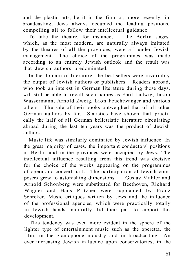and the plastic arts, be it in the film or, more recently, in broadcasting, Jews always occupied the leading positions, compelling all to follow their intellectual guidance.

To take the theatre, for instance, — the Berlin stages, which, as the most modern, are naturally always imitated by the theatres of all the provinces, were all under Jewish management. The choice of the programmes was made according to an entirely Jewish outlook and the result was that Jewish authors predominated.

In the domain of literature, the best-sellers were invariably the output of Jewish authors or publishers. Readers abroad, who took an interest in German literature during those days, will still be able to recall such names as Emil Ludwig, Jakob Wassermann, Arnold Zweig, Lion Feuchtwanger and various others. The sale of their books outweighed that of all other German authors by far. Statistics have shown that practically the half of all German belletristic literature circulating abroad during the last ten years was the product of Jewish authors.

Music life was similarly dominated by Jewish influence. In the great majority of cases, the important conductors' positions in Berlin and in the provinces were occupied by Jews. The intellectual influence resulting from this trend was decisive for the choice of the works appearing on the programmes of opera and concert hall. The participation of Jewish composers grew to astonishing dimensions. — Gustav Mahler and Arnold Schönberg were substituted for Beethoven, Richard Wagner and Hans Pfitzner were supplanted by Franz Schreker. Music critiques written by Jews and the influence of the professional agencies, which were practically totally in Jewish hands, naturally did their part to support this development.

This tendency was even more evident in the sphere of the lighter type of entertainment music such as the operetta, the film, in the gramophone industry and in broadcasting. An ever increasing Jewish influence upon conservatories, in the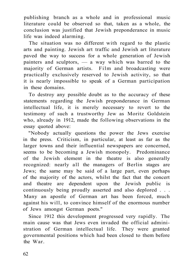publishing branch as a whole and in professional music literature could be observed so that, taken as a whole, the conclusion was justified that Jewish preponderance in music life was indeed alarming.

The situation was no different with regard to the plastic arts and painting. Jewish art traffic and Jewish art literature paved the way to success for a whole generation of Jewish painters and sculptors, — a way which was barred to the majority of German artists. Film and broadcasting were practically exclusively reserved to Jewish activity, so that it is nearly impossible to speak of a German participation in these domains.

To destroy any possible doubt as to the accuracy of these statements regarding the Jewish preponderance in German intellectual life, it is merely necessary to revert to the testimony of such a trustworthy Jew as Moritz Goldstein who, already in 1912, made the following observations in the essay quoted above:

"Nobody actually questions the power the Jews exercise in the press. Criticism, in particular, at least as far as the larger towns and their influential newspapers are concerned, seems to be becoming a Jewish monopoly. Predominance of the Jewish element in the theatre is also generally recognized: nearly all the managers of Berlin stages are Jews; the same may be said of a large part, even perhaps of the majority of the actors, whilst the fact that the concert and theatre are dependent upon the Jewish public is continuously being proudly asserted and also deplored . . . Many an apostle of German art has been forced, much against his will, to convince himself of the enormous number of Jews amongst German poets."

Since 1912 this development progressed very rapidly. The main cause was that Jews even invaded the official administration of German intellectual life. They were granted governmental positions which had been closed to them before the War.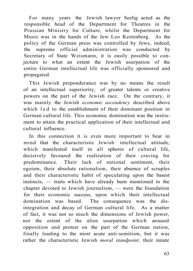For many years the Jewish lawyer Seelig acted as the responsible head of the Department for Theatres in the Prussian Ministry for Culture, whilst the Department for Music was in the hands of the Jew Leo Kestenberg. As the policy of the German press was controlled by Jews, indeed, the supreme official administration was conducted by Secretary of State Weismann, it is easily possible to conjecture to what an extent the Jewish usurpation of the entire German intellectual life was officially sponsored and propagated.

This Jewish preponderance was by no means the result of an intellectual superiority, of greater talents or creative powers on the part of the Jewish race. On the contrary, it was mainly the Jewish *economic ascendency* described above which led to the establishment of their dominant position in German cultural life. This economic domination was the instrument to attain the practical application of their intellectual and cultural influence.

In this connection it is even more important to bear in mind that the characteristic Jewish intellectual attitude, which manifested itself in all spheres of cultural life, decisively favoured the realization of their craving for predominance. Their lack of national sentiment, their egoism, their absolute rationalism, their absence of scruples and their characteristic habit of speculating upon the basest instincts, — traits which have already been mentioned in the chapter devoted to Jewish journalism, — were the foundation for their economic success, upon which their intellectual domination was based. The consequence was the disintegration and decay of German cultural life. As a matter of fact, it was not so much the dimensions of Jewish power, nor the extent of the alien usurpation which aroused opposition and protest on the part of the German nation, finally leading to the most acute anti-semitism, but it was rather the characteristic Jewish *moral standpoint,* their innate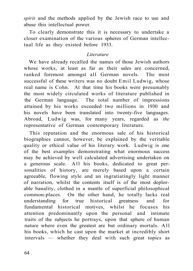*spirit* and the methods applied by the Jewish race to use and abuse this intellectual power.

To clearly demonstrate this it is necessary to undertake a closer examination of the various spheres of German intellectual life as they existed before 1933.

### *Literature*

We have already recalled the names of those Jewish authors whose works, at least as far as their sales are concerned, ranked foremost amongst all German novels. The most successful of these writers was no doubt Emil Ludwig, whose real name is Cohn. At that time his books were presumably the most widely circulated works of literature published in the German language. The total number of impressions attained by his works exceeded two millions in 1930 and his novels have been translated into twenty-five languages. Abroad, Ludwig was, for many years, regarded as *the*  representative of German contemporary literature.

This reputation and the enormous sale of his historical biographies cannot, however, be explained by the veritable quality or ethical value of his literary work. Ludwig is one of the best examples demonstrating what enormous success may be achieved by well calculated advertising undertaken on a generous scale. All his books, dedicated to great personalities of history, are merely based upon a certain agreeable, flowing style and an ingratiatingly light manner of narration, whilst the contents itself is of the most deplorable banality, clothed in a mantle of superficial philosophical common-places. On the other hand, he totally lacks real understanding for true historical greatness and for fundamental historical motives, whilst he focuses his attention predominantly upon the personal and intimate traits of the subjects he portrays, upon that sphere of human nature where even the greatest are but ordinary mortals. All his books, which he cast upon the market at incredibly short intervals — whether they deal with such great topics as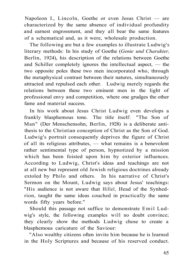Napoleon I., Lincoln, Goethe or even Jesus Christ — are characterized by the same absence of individual profundity and earnest engrossment, and they all bear the same features of a schematical and, as it were, wholesale production.

The following are but a few examples to illustrate Ludwig's literary methods: In his study of Goethe (*Genie und Charakter,*  Berlin, 1924), his description of the relations between Goethe and Schiller completely ignores the intellectual aspect, — the two opposite poles these two men incorporated who, through the metaphysical contrast between their natures, simultaneously attracted and repulsed each other. Ludwig merely regards the relations between these two eminent men in the light of professional envy and competition, where one grudges the other fame and material success.

In his work about Jesus Christ Ludwig even develops a frankly blasphemous tone. The title itself: "The Son of Man" (Der Menschensohn, Berlin, 1928) is a deliberate antithesis to the Christian conception of Christ as the Son of God. Ludwig's portrait consequently deprives the figure of Christ of all its religious attributes, — what remains is a benevolent rather sentimental type of person, hypnotized by a mission which has been foisted upon him by exterior influences. According to Ludwig, Christ's ideas and teachings are not at all new but represent old Jewish religious doctrines already extoled by Philo and others. In his narrative of Christ's Sermon on the Mount, Ludwig says about Jesus' teachings: "His audience is not aware that Hillel, Head of the Synhedrion, taught the same ideas couched in practically the same words fifty years before."

Should this passage not suffice to demonstrate Emil Ludwig's style, the following examples will no doubt convince; they clearly show the methods Ludwig chose to create a blasphemous caricature of the Saviour:

"Also wealthy citizens often invite him because he is learned in the Holy Scriptures and because of his reserved conduct.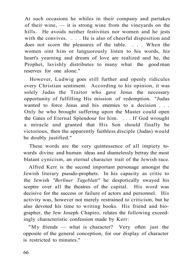At such occasions he whiles in their company and partakes of their wine, — it is strong wine from the vineyards on the hills. He avoids neither festivities nor women and he jests with the convives. . . . He is also of cheerful disposition and does not scorn the pleasures of the table. . . . When the women oint him or languorously listen to his words, his heart's yearning and dream of love are realized and he, the Prophet, lavishly distributes to many what the good man reserves for one alone."

However, Ludwig goes still further and openly ridicules every Christian sentiment. According to his opinion, it was solely Judas the Traitor who gave Jesus the necessary opportunity of fulfilling His mission of redemption. "Judas wanted to force Jesus and his enemies to a decision . . . Only he who brought suffering upon the Master could open the Gates of Eternal Splendour for him. .. . If God wrought a miracle and granted that His Son should finally be victorious, then the apparently faithless disciple (Judas) would be doubly justified."

These words are the very quintessence of all impiety towards divine and human ideas and shamelessly betray the most blatant cynicism, an eternal character trait of the Jewish race.

Alfred Kerr is the second important personage amongst the Jewish literary pseudo-prophets. In his capacity as critic to the Jewish *"Berliner Tageblatt"* he despotically swayed his sceptre over all the theatres of the capital. His word was decisive for the success or failure of actors and personnel. His activity was, however not merely restrained to criticism, but he also devoted his time to writing books. His friend and biographer, the Jew Joseph Chapiro, relates the following exceedingly characteristic confession made by Kerr:

"My friends — what is character? Very often just the opposite of the general conception, for our display of character is restricted to minutes."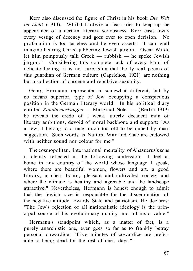Kerr also discussed the figure of Christ in his book *Die Welt im Licht* (1913). Whilst Ludwig at least tries to keep up the appearance of a certain literary seriousness, Kerr casts away every vestige of decency and goes over to open derision. No profanation is too tasteless and he even asserts: "I can well imagine hearing Christ jabbering Jewish jargon. Oscar Wilde let him pompously talk Greek — rubbish — he spoke Jewish jargon." Considering this complete lack of every kind of delicate feeling, it is not surprising that the lyrical poems of this guardian of German culture (Caprichos, 1921) are nothing but a collection of obscene and repulsive sexuality.

Georg Hermann represented a somewhat different, but by no means superior, type of Jew occupying a conspicuous position in the German literary world. In his political diary entitled *Randbemerkungen* — Marginal Notes — (Berlin 1919) he reveals the credo of a weak, utterly decadent man of literary ambitions, devoid of moral backbone and support: "As a Jew, I belong to a race much too old to be duped by mass suggestion. Such words as Nation, War and State are endowed with neither sound nor colour for me."

The cosmopolitan, international mentality of Ahasuerus's sons is clearly reflected in the following confession: "I feel at home in any country of the world whose language I speak, where there are beautiful women, flowers and art, a good library, a chess board, pleasant and cultivated society and where the climate is healthy and agreeable and the landscape attractive." Nevertheless, Hermann is honest enough to admit that the Jewish race is responsible for the dissemination of the negative attitude towards State and patriotism. He declares: "The Jew's rejection of all nationalistic ideology is the principal source of his evolutionary quality and intrinsic value."

Hermann's standpoint which, as a matter of fact, is a purely anarchistic one, even goes so far as to frankly betray personal cowardice: "Five minutes of cowardice are preferable to being dead for the rest of one's days." —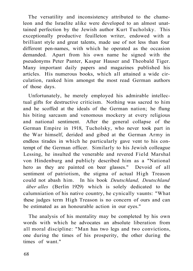The versatility and inconsistency attributed to the chameleon and the Israelite alike were developed to an almost unattained perfection by the Jewish author Kurt Tucholsky. This exceptionally productive feuilleton writer, endowed with a brilliant style and great talents, made use of not less than four different pen-names, with which he operated as the occasion demanded. Apart from his own name he signed with the pseudonyms Peter Panter, Kaspar Hauser and Theobald Tiger. Many important daily papers and magazines published his articles. His numerous books, which all attained a wide circulation, ranked him amongst the most read German authors of those days.

Unfortunately, he merely employed his admirable intellectual gifts for destructive criticism. Nothing was sacred to him and he scoffed at the ideals of the German nation; he flung his biting sarcasm and venomous mockery at every religious and national sentiment. After the general collapse of the German Empire in 1918, Tucholsky, who never took part in the War himself, derided and gibed at the German Army in endless tirades in which he particularly gave vent to his contempt of the German officer. Similarly to his Jewish colleague Lessing, he insulted the venerable and revered Field Marshal von Hindenburg and publicly described him as a "National hero as they are painted on beer glasses." Devoid of all sentiment of patriotism, the stigma of actual High Treason could not abash him. In his book *Deutschland, Deutschland über alles* (Berlin 1929) which is solely dedicated to the calumniation of his native country, he cynically vaunts: "What these judges term High Treason is no concern of ours and can be estimated as an honourable action in our eyes."

The analysis of his mentality may be completed by his own words with which he advocates an absolute liberation from all moral discipline: "Man has two legs and two convictions, one during the times of his prosperity, the other during the times of want."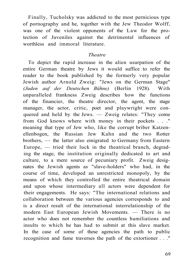Finally, Tucholsky was addicted to the most pernicious type of pornography and he, together with the Jew Theodor Wolff, was one of the violent opponents of the Law for the protection of Juveniles against the detrimental influences of worthless and immoral literature.

#### *Theatre*

To depict the rapid increase in the alien usurpation of the entire German theatre by Jews it would suffice to refer the reader to the book published by the formerly very popular Jewish author Arnold Zweig: "Jews on the German Stage" *(Juden auf der Deutschen Bühne)* (Berlin 1928). With unparalleled frankness Zweig describes how the functions of the financier, the theatre director, the agent, the stage manager, the actor, critic, poet and playwright were conquered and held by the Jews. — Zweig relates: "They come from God knows where with money in their pockets . . ." meaning that type of Jew who, like the corrupt briber Katzenellenbogen, the Russian Jew Kahn and the two Rotter brothers, — the latter also emigrated to Germany from Eastern Europe, — tried their luck in the theatrical branch, degrading the stage, the institution originally dedicated to art and culture, to a mere source of pecuniary profit. Zweig designates the Jewish agents as "slave-holders" who had, in the course of time, developed an unrestricted monopoly, by the means of which they controlled the entire theatrical domain and upon whose intermediary all actors were dependent for their engagements. He says: "The international relations and collaboration between the various agencies corresponds to and is a direct result of the international interrelationship of the modern East European Jewish Movements. — There is no actor who does not remember the countless humiliations and insults to which he has had to submit at this slave market. In the case of some of these agencies the path to public recognition and fame traverses the path of the extortioner . . ."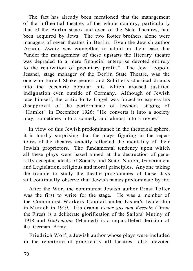The fact has already been mentioned that the management of the influential theatres of the whole country, particularly that of the Berlin stages and even of the State Theatres, had been acquired by Jews. The two Rotter brothers alone were managers of seven theatres in Berlin. Even the Jewish author Arnold Zweig was compelled to admit in their case that "under the management of these upstarts the literary theatre was degraded to a mere financial enterprise devoted entirely to the realization of pecuniary profit." The Jew Leopold Jessner, stage manager of the Berlin State Theatre, was the one who turned Shakespeare's and Schiller's classical dramas into the eccentric popular hits which aroused justified indignation even outside of Germany. Although of Jewish race himself, the critic Fritz Engel was forced to express his disapproval of the performance of Jessner's staging of "Hamlet" in December 1926: "He converts it into a society play, sometimes into a comedy and almost into a revue."

In view of this Jewish predominance in the theatrical sphere, it is hardly surprising that the plays figuring in the repertoires of the theatres exactly reflected the mentality of their Jewish proprietors. The fundamental tendency upon which all these plays were based aimed at the destruction of generally accepted ideals of Society and State, Nation, Government and Legislation, religious and moral principles. Anyone taking the trouble to study the theatre programmes of those days will continually observe that Jewish names predominate by far.

After the War, the communist Jewish author Ernst Toller was the first to write for the stage. He was a member of the Communist Workers Council under Eisner's leadership in Munich in 1919. His drama *Feuer aus den Kesseln* (Draw the Fires) is a deliberate glorification of the Sailors' Mutiny of 1918 and *Hinkemann* (Maimed) is a unparalleled derision of the German Army.

Friedrich Wolf, a Jewish author whose plays were included in the repertoire of practically all theatres, also devoted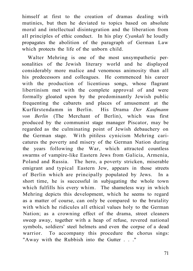himself at first to the creation of dramas dealing with mutinies, but then he deviated to topics based on absolute moral and intellectual disintegration and the liberation from all principles of ethic conduct. In his play *Cyankali* he loudly propagates the abolition of the paragraph of German Law which protects the life of the unborn child.

Walter Mehring is one of the most unsympathetic personalities of the Jewish literary world and he displayed considerably more malice and venomous animosity than all his predecessors and colleagues. He commenced his career with the production of licentious songs, whose flagrant libertinism met with the complete approval of and were formally gloated upon by the predominantly Jewish public frequenting the cabarets and places of amusement at the Kurfürstendamm in Berlin. His Drama *Der Kaufmann von Berlin* (The Merchant of Berlin), which was first produced by the communist stage manager Piscator, may be regarded as the culminating point of Jewish debauchery on the German stage. With pitiless cynicism Mehring caricatures the poverty and misery of the German Nation during the years following the War, which attracted countless swarms of vampire-like Eastern Jews from Galicia, Armenia, Poland and Russia. The hero, a poverty stricken, miserable emigrant and typical Eastern Jew, appears in those streets of Berlin which are principally populated by Jews. In a short time, he is successful in subjugating the whole town which fulfills his every whim. The shameless way in which Mehring depicts this development, which he seems to regard as a matter of course, can only be compared to the brutality with which he ridicules all ethical values holy to the German Nation; as a crowning effect of the drama, street cleaners sweep away, together with a heap of refuse, revered national symbols, soldiers' steel helmets and even the corpse of a dead warrior. To accompany this procedure the chorus sings: "Away with the Rubbish into the Gutter . . ."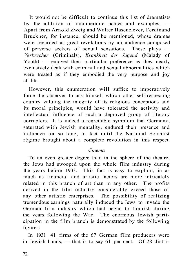It would not be difficult to continue this list of dramatists by the addition of innumerable names and examples. — Apart from Arnold Zweig and Walter Hasenclever, Ferdinand Bruckner, for instance, should be mentioned, whose dramas were regarded as great revelations by an audience composed of perverse seekers of sexual sensations. These plays — *Verbrecher* (Criminals), *Krankheit der Jugend* (Malady of Youth) — enjoyed their particular preference as they nearly exclusively dealt with criminal and sexual abnormalities which were treated as if they embodied the very purpose and joy of life.

However, this enumeration will suffice to imperatively force the observer to ask himself which other self-respecting country valuing the integrity of its religious conceptions and its moral principles, would have tolerated the activity and intellectual influence of such a depraved group of literary corrupters. It is indeed a regrettable symptom that Germany, saturated with Jewish mentality, endured their presence and influence for so long, in fact until the National Socialist régime brought about a complete revolution in this respect.

### *Cinema*

To an even greater degree than in the sphere of the theatre, the Jews had swooped upon the whole film industry during the years before 1933. This fact is easy to explain, in as much as financial and artistic factors are more intricately related in this branch of art than in any other. The profits derived in the film industry considerably exceed those of any other artistic enterprises. The possibility of realizing tremendous earnings naturally induced the Jews to invade the German film industry which had begun to flourish during the years following the War. The enormous Jewish participation in the film branch is demonstrated by the following figures:

In 1931 41 firms of the 67 German film producers were in Jewish hands, — that is to say 61 per cent. Of 28 distri-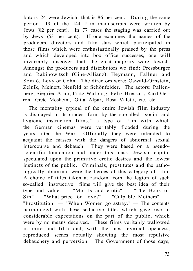butors 24 were Jewish, that is 86 per cent. During the same period 119 of the 144 film manuscripts were written by Jews (82 per cent). In 77 cases the staging was carried out by Jews (53 per cent). If one examines the names of the producers, directors and film stars which participated in those films which were enthusiastically praised by the press and which developed into box office successes, one will invariably discover that the great majority were Jewish. Amongst the producers and distributors we find: Pressburger and Rabinowitsch (Cine-Allianz), Heymann, Fallner and Somló, Levy or Cohn. The directors were: Oswald-Ornstein, Zelnik, Meinert, Neufeld or Schönfelder. The actors: Pallenberg, Siegried Arno, Fritz Walburg, Felix Bressart, Kurt Gerron, Grete Mosheim, Gitta Alpar, Rosa Valetti, etc. etc.

The mentality typical of the entire Jewish film industry is displayed in its crudest form by the so-called "social and hygienic instruction films," a type of film with which the German cinemas were veritably flooded during the years after the War. Officially they were intended to acquaint the masses with the dangers of abnormal sexual intercourse and debauch. They were based on a pseudoscientific foundation and under this mask Jewish capital speculated upon the primitive erotic desires and the lowest instincts of the public. Criminals, prostitutes and the pathologically abnormal were the heroes of this category of film. A choice of titles taken at random from the legion of such so-called "instructive" films will give the best idea of their type and value: — "Morals and erotic" — "The Book of Sin" — "What price for Love?" — "Culpable Mothers" — "Prostitution" — "When Women go astray." — The contents harmonized with these seductive titles which gave rise to considerable expectations on the part of the public, which were by no means deceived. These films veritably wallowed in mire and filth and, with the most cynical openness, reproduced scenes actually showing the most repulsive debauchery and perversion. The Government of those days,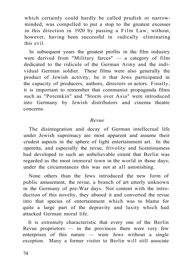which certainly could hardly be called prudish or narrowminded, was compelled to put a stop to the greatest excesses in this direction in 1920 by passing a Film Law, without, however, having been successful in radically eliminating this evil.

In subsequent years the greatest profits in the film industry were derived from "Military farces" — a category of film dedicated to the ridicule of the German Army and the individual German soldier. These films were also generally the product of Jewish activity, be it that Jews participated in the capacity of producers, authors, directors or actors. Finally, it is important to remember that communist propaganda films such as "Potemkin" and "Storm over Asia" were introduced into Germany by Jewish distributors and cinema theatre concerns.

## *Revue*

The disintegration and decay of German intellectual life under Jewish supremacy are most apparent and assume their crudest aspects in the sphere of light entertainment art. In the operetta, and especially the revue, frivolity and licentiousness had developed to such an unbelievable extent that Berlin was regarded as the most immoral town in the world in those days; under the circumstances this was not at all astonishing.

None others than the Jews introduced the new form of public amusement, the revue, a branch of art utterly unknown in the Germany of pre-War days. Not content with the introduction of this novelty, they abused it and converted the revue into that species of entertainment which was to blame for quite a large part of the depravity and laxity which had attacked German moral life.

It is extremely characteristic that every one of the Berlin Revue proprietors  $-$  in the provinces there were very few enterprises of this nature — were Jews without a single exception. Many a former visitor to Berlin will still associate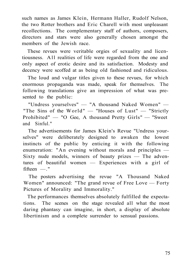such names as James Klein, Hermann Haller, Rudolf Nelson, the two Rotter brothers and Eric Charell with most unpleasant recollections. The complementary staff of authors, composers, directors and stars were also generally chosen amongst the members of the Jewish race.

These revues were veritable orgies of sexuality and licentiousness. All realities of life were regarded from the one and only aspect of erotic desire and its satisfaction. Modesty and decency were scoffed at as being old fashioned and ridiculous.

The loud and vulgar titles given to these revues, for which enormous propaganda was made, speak for themselves. The following translations give an impression of what was presented to the public:

"Undress yourselves" — "A thousand Naked Women" — "The Sins of the World" — "Houses of Lust" — "Strictly Prohibited" — "O Gee, A thousand Pretty Girls" — "Sweet and Sinful."

The advertisements for James Klein's Revue "Undress yourselves" were deliberately designed to awaken the lowest instincts of the public by enticing it with the following enumeration: "An evening without morals and principles — Sixty nude models, winners of beauty prizes — The adventures of beautiful women — Experiences with a girl of fifteen —."

The posters advertising the revue "A Thousand Naked Women" announced: "The grand revue of Free Love — Forty Pictures of Morality and Immorality."

The performances themselves absolutely fulfilled the expectations. The scenes on the stage revealed all what the most daring phantasy can imagine, in short, a display of absolute libertinism and a complete surrender to sensual passions.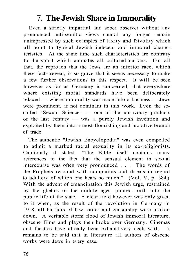## 7. **The Jewish Share in Immorality**

Even a strictly impartial and sober observer without any pronounced anti-semitic views cannot any longer remain unimpressed by such examples of laxity and frivolity which all point to typical Jewish indecent and immoral characteristics. At the same time such characteristics are contrary to the spirit which animates all cultured nations. For all that, the reproach that the Jews are an inferior race, which these facts reveal, is so grave that it seems necessary to make a few further observations in this respect. It will be seen however as far as Germany is concerned, that everywhere where existing moral standards have been deliberately relaxed — where immorality was made into a business — Jews were prominent, if not dominant in this work. Even the socalled "Sexual Science" — one of the unsavoury products of the last century — was a purely Jewish invention and exploited by them into a most flourishing and lucrative branch of trade.

The authentic "Jewish Encyclopedia" was even compelled to admit a marked racial sexuality in its co-religionists. Cautiously it stated: "The Bible itself contains many references to the fact that the sensual element in sexual intercourse was often very pronounced . . . The words of the Prophets resound with complaints and threats in regard to adultery of which one hears so much." (Vol. V, p. 384.) With the advent of emancipation this Jewish urge, restrained by the ghettos of the middle ages, poured forth into the public life of the state. A clear field however was only given to it when, as the result of the revolution in Germany in 1918, all barriers of law, order and censorship were broken down. A veritable storm flood of Jewish immoral literature, obscene films and plays then broke over Germany. Cinemas and theatres have already been exhaustively dealt with. It remains to be said that in literature all authors of obscene works were Jews in every case.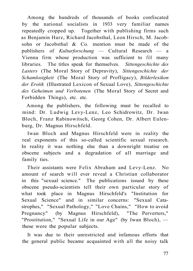Among the hundreds of thousands of books confiscated by the national socialists in 1933 very familiar names repeatedly cropped up. Together with publishing firms such as Benjamin Harz, Richard Jacobsthal, Leon Hirsch, M. Jacobsohn or Jacobsthal & Co. mention must be made of the publishers of *Kulturforschung* — Cultural Research — a Vienna firm whose production was sufficient to fill many libraries. The titles speak for themselves. *Sittengeschichte des Lasters* (The Moral Story of Depravity), *Sittengeschichte der Schamlosigkeit* (The Moral Story of Profligacy), *Bilderlexikon der Erotik* (Illustrated Lexicon of Sexual Love), *Sittengeschichte des Geheimen und Verbotenen* (The Moral Story of Secret and Forbidden Things), etc. etc.

Among the publishers, the following must be recalled to mind: Dr. Ludwig Levy-Lenz, Leo Schidrowitz, Dr. Iwan Bloch, Franz Rabinowitsch, Georg Cohen, Dr. Albert Eulenburg, Dr. Magnus Hirschfeld.

Iwan Bloch and Magnus Hirschfeld were in reality the real exponents of this so-called scientific sexual research. In reality it was nothing else than a downright treatise on obscene subjects and a degradation of all marriage and family ties.

Their assistants were Felix Abraham and Levy-Lenz. No amount of search will ever reveal a Christian collaborator in this "sexual science." The publications issued by these obscene pseudo-scientists tell their own particular story of what took place in Magnus Hirschfeld's "Institution for Sexual Science" and in similar concerns: "Sexual Catastrophes," "Sexual Pathology," "Love Chains," "How to avoid Pregnancy" (by Magnus Hirschfeld), "The Perverters," "Prostitution," "Sexual Life in our Age" (by Iwan Bloch), these were the popular subjects.

It was due to their unrestricted and infamous efforts that the general public became acquainted with all the noisy talk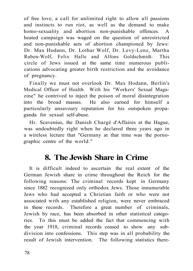of free love, a call for unlimited right to allow all passions and instincts to run riot, as well as the demand to make homo-sexuality and abortion non-punishable offences. A heated campaign was waged on the question of unrestricted and non-punishable acts of abortion championed by Jews: Dr. Max Hodann, Dr. Lothar Wolf, Dr. Levy-Lenz, Martha Ruben-Wolf, Felix Halle and Alfons Goldschmidt. This circle of Jews issued at the same time numerous publications advocating greater birth restriction and the avoidance of pregnancy.

Finally we must not overlook Dr. Max Hodann, Berlin's Medical Officer of Health. With his "Workers' Sexual Magazine" he contrived to inject the poison of moral disintegration into the broad masses. He also earned for himself a particularly unsavoury reputation for his outspoken propaganda for sexual self-abuse.

Hr. Scavenius, the Danish Chargé d'Affaires at the Hague, was undoubtedly right when he declared three years ago in a wireless lecture that "Germany at that time was the pornographic centre of the world."

## **8. The Jewish Share in Crime**

It is difficult indeed to ascertain the real extent of the German Jewish share in crime throughout the Reich for the following reasons: The criminal records kept in Germany since 1882 recognized only orthodox Jews. Those innumerable Jews who had accepted a Christian faith or who were not associated with any established religion, were never embraced in these records. Therefore a great number of criminals, Jewish by race, has been absorbed in other statistical categories. To this must be added the fact that commencing with the year 1918, criminal records ceased to show any subdivision into confessions. This step was in all probability the result of Jewish intervention. The following statistics there-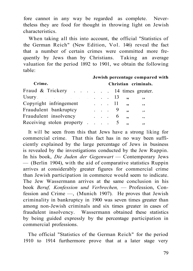fore cannot in any way be regarded as complete. Nevertheless they are food for thought in throwing light on Jewish characteristics.

When taking all this into account, the official "Statistics of the German Reich" (New Edition, Vol. 146) reveal the fact that a number of certain crimes were committed more frequently by Jews than by Christians. Taking an average valuation for the period 1892 to 1901, we obtain the following table:

|                                    | Jewish percentage compared with<br>Christian criminals. |  |  |  |                                       |  |                          |  |  |
|------------------------------------|---------------------------------------------------------|--|--|--|---------------------------------------|--|--------------------------|--|--|
| Crime.                             |                                                         |  |  |  |                                       |  |                          |  |  |
| Fraud & Trickery 14 times greater. |                                                         |  |  |  |                                       |  |                          |  |  |
| Usury $13, 13, 13$                 |                                                         |  |  |  |                                       |  | , ,                      |  |  |
| Copyright infringement             |                                                         |  |  |  | $\ldots$ . $\ldots$ $\ldots$ $\ldots$ |  | $\mathbf{B}$             |  |  |
| Fraudulent bankruptcy              |                                                         |  |  |  | $\cdots$ $9$ ,                        |  | $\overline{\phantom{a}}$ |  |  |
| Fraudulent insolvency              |                                                         |  |  |  | $\cdots$ 6,                           |  | $\ddotsc$                |  |  |
| Receiving stolen property 5        |                                                         |  |  |  |                                       |  | , ,                      |  |  |

It will be seen from this that Jews have a strong liking for commercial crime. That this fact has in no way been sufficiently explained by the large percentage of Jews in business is revealed by the investigations conducted by the Jew Ruppin. In his book, *Die Juden der Gegenwart* — Contemporary Jews — (Berlin 1904), with the aid of comparative statistics Ruppin arrives at considerably greater figures for commercial crime than Jewish participation in commerce would seem to indicate. The Jew Wassermann arrives at the same conclusion in his book *Beruf, Konfession und Verbrechen,* — Profession, Confession and Crime —, (Munich 1907). He proves that Jewish criminality in bankruptcy in 1900 was seven times greater than among non-Jewish criminals and six times greater in cases of fraudulent insolvency. Wassermann obtained these statistics by being guided expressly by the percentage participation in commercial professions.

The official "Statistics of the German Reich" for the period 1910 to 1914 furthermore prove that at a later stage very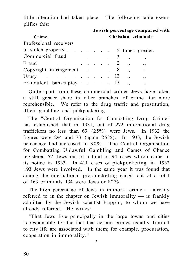little alteration had taken place. The following table exemplifies this:

|                                                               |  | Jewish percentage compared with<br>Christian criminals. |  |  |  |                      |                      |  |  |  |
|---------------------------------------------------------------|--|---------------------------------------------------------|--|--|--|----------------------|----------------------|--|--|--|
| Crime.                                                        |  |                                                         |  |  |  |                      |                      |  |  |  |
| Professional receivers                                        |  |                                                         |  |  |  |                      |                      |  |  |  |
| of stolen property 5 times greater.                           |  |                                                         |  |  |  |                      |                      |  |  |  |
| Commercial fraud commercial fraud                             |  |                                                         |  |  |  |                      | $\ddot{\phantom{0}}$ |  |  |  |
| Fraud $\begin{array}{ccccccccccccc}\n\hline\n\end{array}$ 2 . |  |                                                         |  |  |  |                      | ۰,                   |  |  |  |
| Copyright infringement 8                                      |  |                                                         |  |  |  | $\ddot{\phantom{a}}$ | $\ddotsc$            |  |  |  |
| Usury $12$                                                    |  |                                                         |  |  |  | $\ddot{\phantom{a}}$ | $\ddot{\phantom{1}}$ |  |  |  |
| Fraudulent bankruptcy $\cdots$ 13                             |  |                                                         |  |  |  | $\ddot{\phantom{a}}$ | $\ddot{\phantom{0}}$ |  |  |  |

Quite apart from these commercial crimes Jews have taken a still greater share in other branches of crime far more reprehensible. We refer to the drug traffic and prostitution, illicit gambling and pickpocketing.

The "Central Organisation for Combatting Drug Crime" has established that in 1931, out of 272 international drug traffickers no less than 69 (25%) were Jews. In 1932 the figures were 294 and 73 (again  $25\%$ ). In 1933, the Jewish percentage had increased to 30%. The Central Organisation for Combatting Unlawful Gambling and Games of Chance registered 57 Jews out of a total of 94 cases which came to its notice in 1933. In 411 cases of pickpocketing in 1932 193 Jews were involved. In the same year it was found that among the international pickpocketing gangs, out of a total of 163 criminals 134 were Jews or 82%.

The high percentage of Jews in immoral crime — already referred to in the chapter on Jewish immorality — is frankly admitted by the Jewish scientist Ruppin, to whom we have already referred. He writes:

"That Jews live principally in the large towns and cities is responsible for the fact that certain crimes usually limited to city life are associated with them; for example, procuration, cooperation in immorality."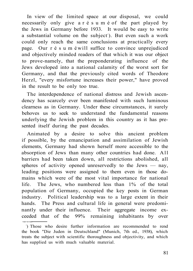In view of the limited space at our disposal, we could necessarily only give a résum é of the part played by the Jews in Germany before 1933. It would be easy to write a substantial volume on the subject'). But even such a work could only reach the same conclusions at practically every page. Our résum é will suffice to convince unprejudiced and objectively minded readers of that which it was our object to prove-namely, that the preponderating influence of the Jews developed into a national calamity of the worst sort for Germany, and that the previously cited words of Theodore Herzl, "every misfortune increases their power," have proved in the result to be only too true.

The interdependence of national distress and Jewish ascendency has scarcely ever been manifested with such luminous clearness as in Germany. Under these circumstances, it surely behoves us to seek to understand the fundamental reasons underlying the Jewish problem in this country as it has presented itself during the past decades.

Animated by a desire to solve this ancient problem if possible, by the emancipation and assimilation of Jewish elements, Germany had shown herself more accessible to the absorption of Jews than many other countries had done. All barriers had been taken down, all restrictions abolished, all spheres of activity opened unreservedly to the Jews  $-$  nay, leading positions were assigned to them even in those domains which were of the most vital importance for national life. The Jews, who numbered less than 1% of the total population of Germany, occupied the key posts in German industry. Political leadership was to a large extent in their hands. The Press and cultural life in general were predominantly under their influence. Their aggregate income exceeded that of the 99% remaining inhabitants by over

<sup>1</sup> ) Those who desire further information are recommended to rend the book "Die Juden in Deutschland" (Munich, 7th ed., 1938), which treats the subject with scientific thoroughness and objectivity, and which has supplied us with much valuable material.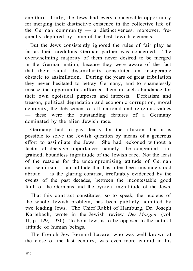one-third. Truly, the Jews had every conceivable opportunity for merging their distinctive existence in the collective life of the German community — a distinctiveness, moreover, frequently deplored by some of the best Jewish elements.

But the Jews consistently ignored the rules of fair play as far as their credulous German partner was concerned. The overwhelming majority of them never desired to be merged in the German nation, because they were aware of the fact that their racial dissimilarity constituted an insuperable obstacle to assimilation. During the years of great tribulation they never hesitated to betray Germany, and to shamelessly misuse the opportunities afforded them in such abundance for their own egoistical purposes and interests. Defeatism and treason, political degradation and economic corruption, moral depravity, the debasement of all national and religious values these were the outstanding features of a Germany dominated by the alien Jewish race.

Germany had to pay dearly for the illusion that it is possible to solve the Jewish question by means of a generous effort to assimilate the Jews. She had reckoned without a factor of decisive importance: namely, the congenital, ingrained, boundless ingratitude of the Jewish race. Not the least of the reasons for the uncompromising attitude of German anti-semitism — an attitude that has often been misunderstood abroad — is the glaring contrast, irrefutably evidenced by the events of the past decades, between the incontestable good faith of the Germans and the cynical ingratitude of the Jews.

That this contrast constitutes, so to speak, the nucleus of the whole Jewish problem, has been publicly admitted by two leading Jews. The Chief Rabbi of Hamburg, Dr. Joseph Karlebach, wrote in the Jewish review *Der Morgen* (vol. II, p. 129, 1930): "to be a Jew, is to be opposed to the natural attitude of human beings."

The French Jew Bernard Lazare, who was well known at the close of the last century, was even more candid in his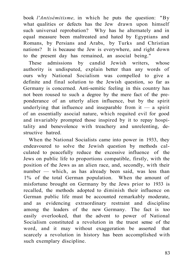book *l'Antisémitisme,* in which he puts the question: "By what qualities or defects has the Jew drawn upon himself such universal reprobation? Why has he alternately and in equal measure been maltreated and hated by Egyptians and Romans, by Persians and Arabs, by Turks and Christian nations? It is because the Jew is everywhere, and right down to the present day has remained, an asocial being."

These admissions by candid Jewish writers, whose authority is undisputed, explain better than any words of ours why National Socialism was compelled to give a definite and final solution to the Jewish question, so far as Germany is concerned. Anti-semitic feeling in this country has not been roused to such a degree by the mere fact of the preponderance of an utterly alien influence, but by the spirit underlying that influence and inseparable from  $it - a$  spirit of an essentially asocial nature, which requited evil for good and invariably prompted those inspired by it to repay hospitality and benevolence with treachery and unrelenting, destructive hatred.

When the National Socialists came into power in 1933, they endeavoured to solve the Jewish question by methods calculated to peacefully reduce the excessive influence of the Jews on public life to proportions compatible, firstly, with the position of the Jews as an alien race, and, secondly, with their number — which, as has already been said, was less than 1% of the total German population. When the amount of misfortune brought on Germany by the Jews prior to 1933 is recalled, the methods adopted to diminish their influence on German public life must be accounted remarkably moderate, and as evidencing extraordinary restraint and discipline among the leaders of the new Germany. The fact is too easily overlooked, that the advent to power of National Socialism constituted a revolution in the truest sense of the word, and it may without exaggeration be asserted that scarcely a revolution in history has been accomplished with such exemplary discipline.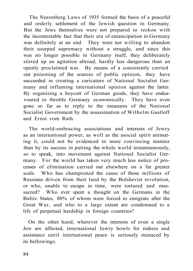The Nuremberg Laws of 1935 formed the basis of a peaceful and orderly settlement of the Jewish question in Germany. But the Jews themselves were not prepared to reckon with the incontestable fact that their era of emancipation in Germany was definitely at an end. They were not willing to abandon their usurped supremacy without a struggle, and since this was no longer possible in Germany itself, they deliberately stirred up an agitation abroad, hardly less dangerous than an openly proclaimed war. By means of a consistently carried out poisoning of the sources of public opinion, they have succeeded in creating a caricature of National Socialist Germany and inflaming international opinion against the latter. By organising a boycott of German goods, they have endeavoured to throttle Germany economically. They have even gone so far as to reply to the measures of the National Socialist Government by the assassination of Wilhelm Gustloff and Ernst vom Rath.

The world-embracing associations and interests of Jewry as an international power, as well as the asocial spirit animating it, could not be evidenced in more convincing manner than by its success in putting the whole world instantaneously, so to speak, into movement against National Socialist Germany. For the world has taken very much less notice of processes of elimination carried out elsewhere on a far greater scale. Who has championed the cause of those millions of Russians driven from their land by the Bolshevist revolution, or who, unable to escape in time, were tortured and massacred? Who ever spent a thought on the Germans in the Baltic States, 80% of whom were forced to emigrate after the Great War, and who to a large extent are condemned to a life of perpetual hardship in foreign countries?

On the other hand, wherever the interests of even a single Jew are affected, international Jewry howls for redress and assistance until international peace is seriously menaced by its bellowings.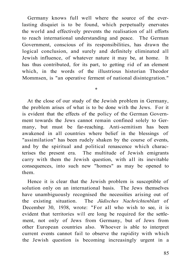Germany knows full well where the source of the everlasting disquiet is to be found, which perpetually enervates the world and effectively prevents the realisation of all efforts to reach international understanding and peace. The German Government, conscious of its responsibilities, has drawn the logical conclusion, and surely and definitely eliminated all Jewish influence, of whatever nature it may be, at home. It has thus contributed, for its part, to getting rid of an element which, in the words of the illustrious historian Theodor Mommsen, is "an operative ferment of national disintegration."

**\*** 

At the close of our study of the Jewish problem in Germany, the problem arises of what is to be done with the Jews. For it is evident that the effects of the policy of the German Government towards the Jews cannot remain confined solely to Germany, but must be far-reaching. Anti-semitism has been awakened in all countries where belief in the blessings of "assimilation" has been rudely shaken by the course of events, and by the spiritual and political renascence which characterises the present era. The multitude of Jewish emigrants carry with them the Jewish question, with all its inevitable consequences, into such new "homes" as may be opened to them.

Hence it is clear that the Jewish problem is susceptible of solution only on an international basis. The Jews themselves have unambiguously recognised the necessities arising out of the existing situation. The *Jüdisches Nachrichtenblatt* of December 30, 1938, wrote: "For all who wish to see, it is evident that territories will ere long be required for the settlement, not only of Jews from Germany, but of Jews from other European countries also. Whoever is able to interpret current events cannot fail to observe the rapidity with which the Jewish question is becoming increasingly urgent in a